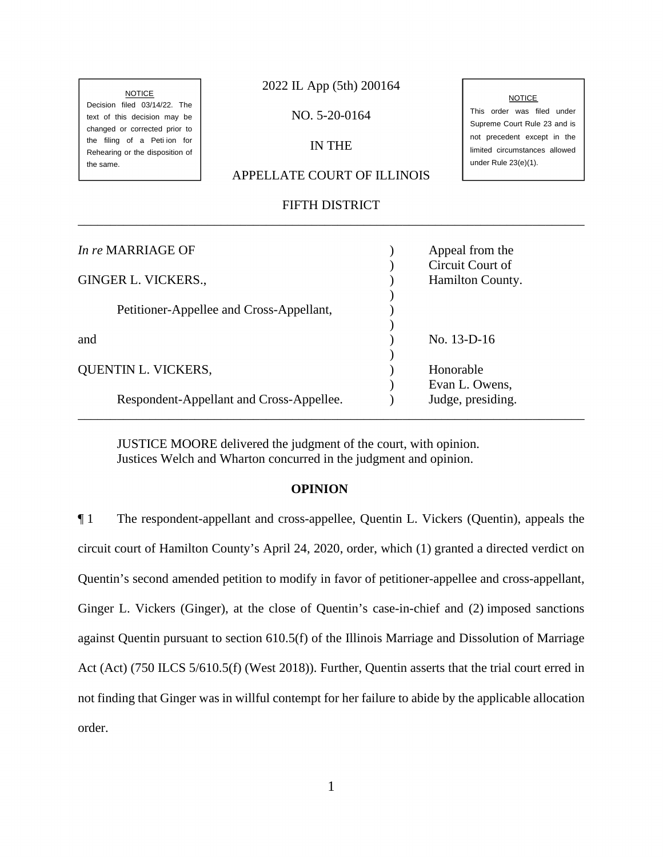Decision filed 03/14/22. The text of this decision may be  $NQ$ .  $5-20-0164$ Supreme Court Rule 23 and is changed or corrected prior to the filing of a Peti ion for  $\parallel$  IN THE  $\parallel$  not precedent except in the Rehearing or the disposition of  $\parallel$ the same. The same and the same of the same of the same of the same of the same of the same of the same of the same of the same of the same of the same of the same of the same of the same of the same of the same of the sam

# $\overline{\text{NOTE}}$  2022 IL App (5th) 200164

#### APPELLATE COURT OF ILLINOIS

## FIFTH DISTRICT

## *In re* MARRIAGE OF (*In re* MARRIAGE OF (*In re* MARRIAGE OF *Appeal from the* GINGER L. VICKERS., Sand Allen (2008) Hamilton County. Petitioner-Appellee and Cross-Appellant, and Respondent-Appellant and Cross-Appellee. (b) Judge, presiding. \_\_\_\_\_\_\_\_\_\_\_\_\_\_\_\_\_\_\_\_\_\_\_\_\_\_\_\_\_\_\_\_\_\_\_\_\_\_\_\_\_\_\_\_\_\_\_\_\_\_\_\_\_\_\_\_\_\_\_\_\_\_\_\_\_\_\_\_\_\_\_\_\_\_\_\_\_\_ ) Circuit Court of ) )  $) \qquad$  No. 13-D-16 ) QUENTIN L. VICKERS,  $\qquad \qquad$  Honorable ) Evan L. Owens,

JUSTICE MOORE delivered the judgment of the court, with opinion. Justices Welch and Wharton concurred in the judgment and opinion.

#### **OPINION**

\_\_\_\_\_\_\_\_\_\_\_\_\_\_\_\_\_\_\_\_\_\_\_\_\_\_\_\_\_\_\_\_\_\_\_\_\_\_\_\_\_\_\_\_\_\_\_\_\_\_\_\_\_\_\_\_\_\_\_\_\_\_\_\_\_\_\_\_\_\_\_\_\_\_\_\_\_\_

 circuit court of Hamilton County's April 24, 2020, order, which (1) granted a directed verdict on Ginger L. Vickers (Ginger), at the close of Quentin's case-in-chief and (2) imposed sanctions ¶ 1 The respondent-appellant and cross-appellee, Quentin L. Vickers (Quentin), appeals the Quentin's second amended petition to modify in favor of petitioner-appellee and cross-appellant, against Quentin pursuant to section 610.5(f) of the Illinois Marriage and Dissolution of Marriage Act (Act) (750 ILCS 5/610.5(f) (West 2018)). Further, Quentin asserts that the trial court erred in not finding that Ginger was in willful contempt for her failure to abide by the applicable allocation order.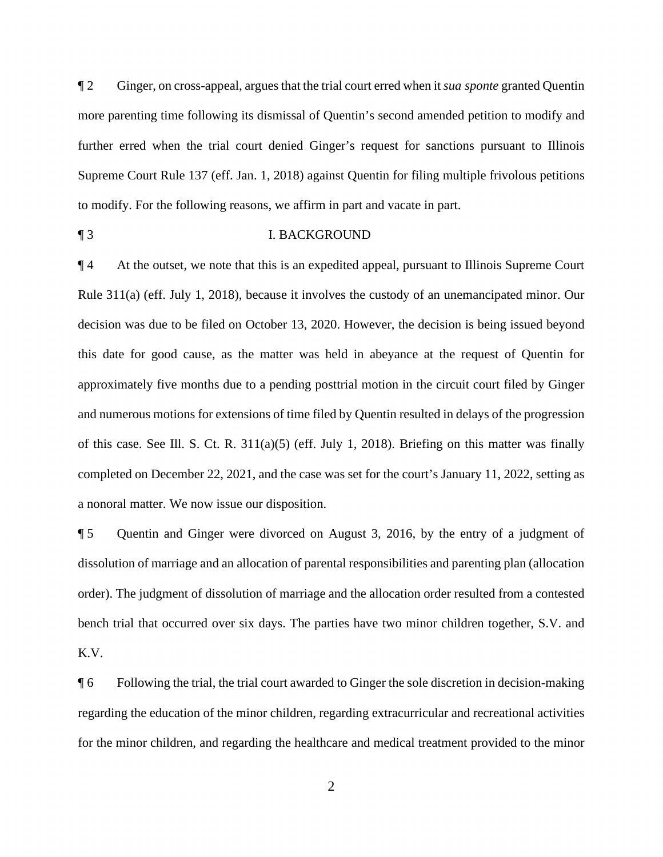¶ 2 Ginger, on cross-appeal, argues that the trial court erred when it *sua sponte* granted Quentin to modify. For the following reasons, we affirm in part and vacate in part. more parenting time following its dismissal of Quentin's second amended petition to modify and further erred when the trial court denied Ginger's request for sanctions pursuant to Illinois Supreme Court Rule 137 (eff. Jan. 1, 2018) against Quentin for filing multiple frivolous petitions

### ¶ 3 I. BACKGROUND

¶ 4 At the outset, we note that this is an expedited appeal, pursuant to Illinois Supreme Court Rule 311(a) (eff. July 1, 2018), because it involves the custody of an unemancipated minor. Our decision was due to be filed on October 13, 2020. However, the decision is being issued beyond this date for good cause, as the matter was held in abeyance at the request of Quentin for approximately five months due to a pending posttrial motion in the circuit court filed by Ginger and numerous motions for extensions of time filed by Quentin resulted in delays of the progression of this case. See Ill. S. Ct. R. 311(a)(5) (eff. July 1, 2018). Briefing on this matter was finally completed on December 22, 2021, and the case was set for the court's January 11, 2022, setting as a nonoral matter. We now issue our disposition.

 order). The judgment of dissolution of marriage and the allocation order resulted from a contested ¶ 5 Quentin and Ginger were divorced on August 3, 2016, by the entry of a judgment of dissolution of marriage and an allocation of parental responsibilities and parenting plan (allocation bench trial that occurred over six days. The parties have two minor children together, S.V. and K.V.

¶ 6 Following the trial, the trial court awarded to Ginger the sole discretion in decision-making regarding the education of the minor children, regarding extracurricular and recreational activities for the minor children, and regarding the healthcare and medical treatment provided to the minor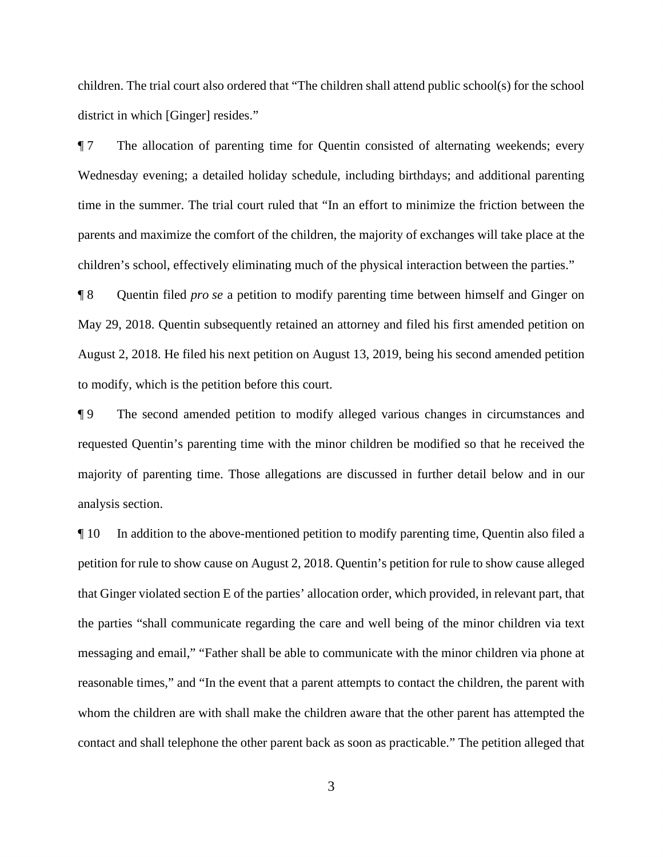children. The trial court also ordered that "The children shall attend public school(s) for the school district in which [Ginger] resides."

 Wednesday evening; a detailed holiday schedule, including birthdays; and additional parenting ¶ 7 The allocation of parenting time for Quentin consisted of alternating weekends; every time in the summer. The trial court ruled that "In an effort to minimize the friction between the parents and maximize the comfort of the children, the majority of exchanges will take place at the children's school, effectively eliminating much of the physical interaction between the parties."

 ¶ 8 Quentin filed *pro se* a petition to modify parenting time between himself and Ginger on May 29, 2018. Quentin subsequently retained an attorney and filed his first amended petition on August 2, 2018. He filed his next petition on August 13, 2019, being his second amended petition to modify, which is the petition before this court.

¶ 9 The second amended petition to modify alleged various changes in circumstances and requested Quentin's parenting time with the minor children be modified so that he received the majority of parenting time. Those allegations are discussed in further detail below and in our analysis section.

¶ 10 In addition to the above-mentioned petition to modify parenting time, Quentin also filed a petition for rule to show cause on August 2, 2018. Quentin's petition for rule to show cause alleged that Ginger violated section E of the parties' allocation order, which provided, in relevant part, that the parties "shall communicate regarding the care and well being of the minor children via text messaging and email," "Father shall be able to communicate with the minor children via phone at reasonable times," and "In the event that a parent attempts to contact the children, the parent with whom the children are with shall make the children aware that the other parent has attempted the contact and shall telephone the other parent back as soon as practicable." The petition alleged that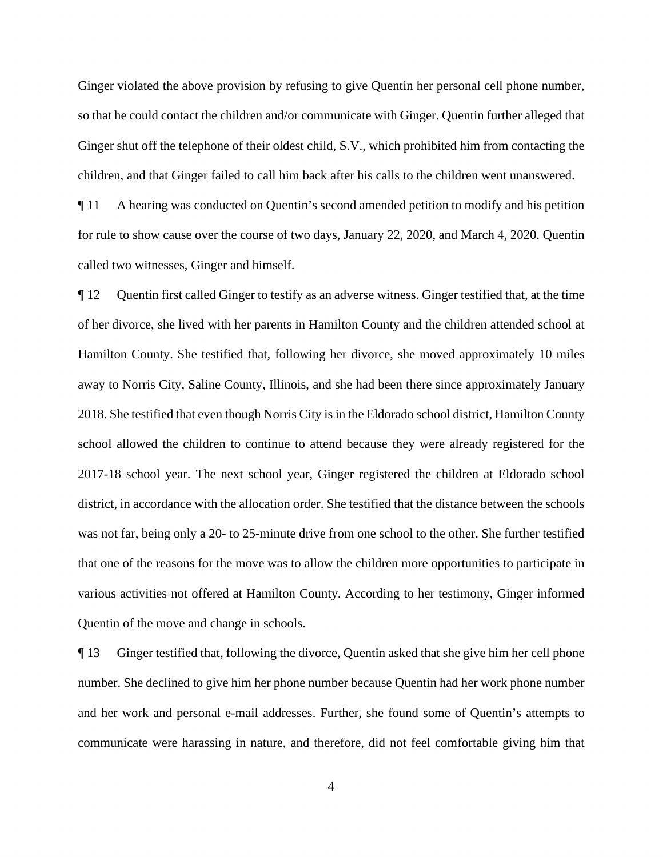Ginger violated the above provision by refusing to give Quentin her personal cell phone number, so that he could contact the children and/or communicate with Ginger. Quentin further alleged that Ginger shut off the telephone of their oldest child, S.V., which prohibited him from contacting the children, and that Ginger failed to call him back after his calls to the children went unanswered.

¶ 11 A hearing was conducted on Quentin's second amended petition to modify and his petition for rule to show cause over the course of two days, January 22, 2020, and March 4, 2020. Quentin called two witnesses, Ginger and himself.

 ¶ 12 Quentin first called Ginger to testify as an adverse witness. Ginger testified that, at the time of her divorce, she lived with her parents in Hamilton County and the children attended school at 2017-18 school year. The next school year, Ginger registered the children at Eldorado school was not far, being only a 20- to 25-minute drive from one school to the other. She further testified that one of the reasons for the move was to allow the children more opportunities to participate in Hamilton County. She testified that, following her divorce, she moved approximately 10 miles away to Norris City, Saline County, Illinois, and she had been there since approximately January 2018. She testified that even though Norris City is in the Eldorado school district, Hamilton County school allowed the children to continue to attend because they were already registered for the district, in accordance with the allocation order. She testified that the distance between the schools various activities not offered at Hamilton County. According to her testimony, Ginger informed Quentin of the move and change in schools.

 ¶ 13 Ginger testified that, following the divorce, Quentin asked that she give him her cell phone number. She declined to give him her phone number because Quentin had her work phone number and her work and personal e-mail addresses. Further, she found some of Quentin's attempts to communicate were harassing in nature, and therefore, did not feel comfortable giving him that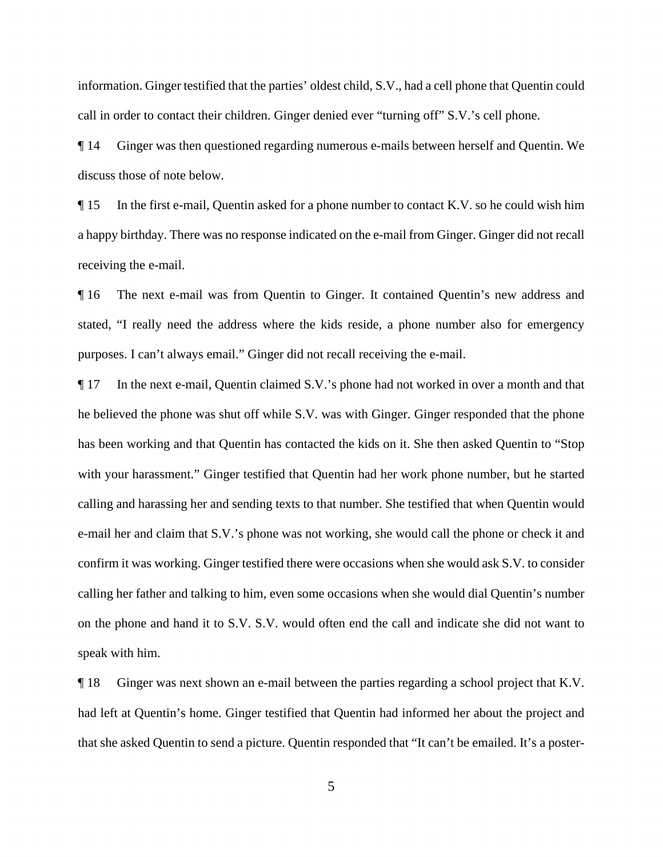information. Ginger testified that the parties' oldest child, S.V., had a cell phone that Quentin could call in order to contact their children. Ginger denied ever "turning off" S.V.'s cell phone.

¶ 14 Ginger was then questioned regarding numerous e-mails between herself and Quentin. We discuss those of note below.

receiving the e-mail.  $\P$  15 In the first e-mail, Quentin asked for a phone number to contact K.V. so he could wish him a happy birthday. There was no response indicated on the e-mail from Ginger. Ginger did not recall

**The metal receiving the e-mail was from Quentin to Ginger. It contained Quentin's new address and** stated, "I really need the address where the kids reside, a phone number also for emergency purposes. I can't always email." Ginger did not recall receiving the e-mail.

 ¶ 17 In the next e-mail, Quentin claimed S.V.'s phone had not worked in over a month and that he believed the phone was shut off while S.V. was with Ginger. Ginger responded that the phone on the phone and hand it to S.V. S.V. would often end the call and indicate she did not want to has been working and that Quentin has contacted the kids on it. She then asked Quentin to "Stop with your harassment." Ginger testified that Quentin had her work phone number, but he started calling and harassing her and sending texts to that number. She testified that when Quentin would e-mail her and claim that S.V.'s phone was not working, she would call the phone or check it and confirm it was working. Ginger testified there were occasions when she would ask S.V. to consider calling her father and talking to him, even some occasions when she would dial Quentin's number speak with him.

 that she asked Quentin to send a picture. Quentin responded that "It can't be emailed. It's a poster-¶ 18 Ginger was next shown an e-mail between the parties regarding a school project that K.V. had left at Quentin's home. Ginger testified that Quentin had informed her about the project and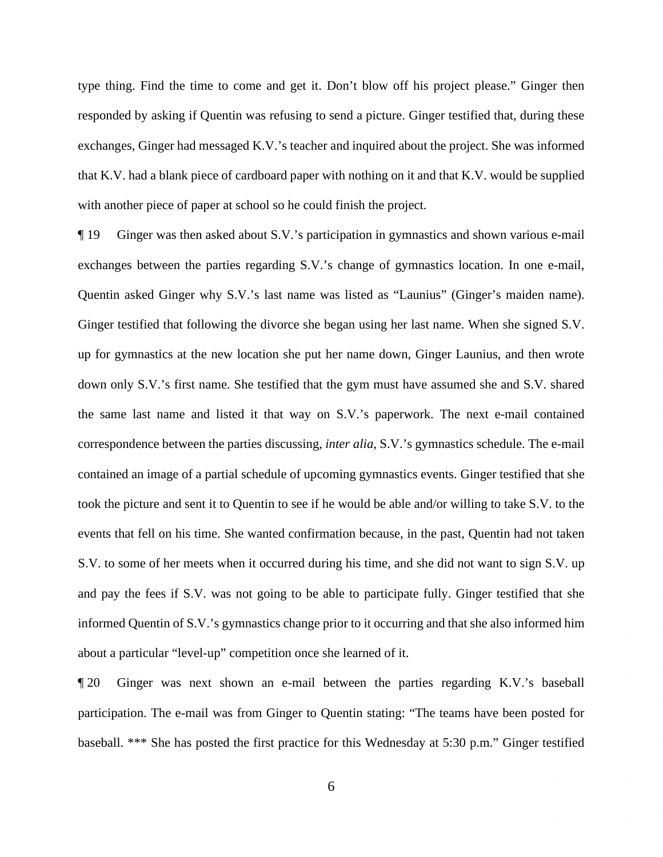responded by asking if Quentin was refusing to send a picture. Ginger testified that, during these type thing. Find the time to come and get it. Don't blow off his project please." Ginger then exchanges, Ginger had messaged K.V.'s teacher and inquired about the project. She was informed that K.V. had a blank piece of cardboard paper with nothing on it and that K.V. would be supplied with another piece of paper at school so he could finish the project.

 exchanges between the parties regarding S.V.'s change of gymnastics location. In one e-mail, the same last name and listed it that way on S.V.'s paperwork. The next e-mail contained took the picture and sent it to Quentin to see if he would be able and/or willing to take S.V. to the S.V. to some of her meets when it occurred during his time, and she did not want to sign S.V. up and pay the fees if S.V. was not going to be able to participate fully. Ginger testified that she ¶ 19 Ginger was then asked about S.V.'s participation in gymnastics and shown various e-mail Quentin asked Ginger why S.V.'s last name was listed as "Launius" (Ginger's maiden name). Ginger testified that following the divorce she began using her last name. When she signed S.V. up for gymnastics at the new location she put her name down, Ginger Launius, and then wrote down only S.V.'s first name. She testified that the gym must have assumed she and S.V. shared correspondence between the parties discussing, *inter alia*, S.V.'s gymnastics schedule. The e-mail contained an image of a partial schedule of upcoming gymnastics events. Ginger testified that she events that fell on his time. She wanted confirmation because, in the past, Quentin had not taken informed Quentin of S.V.'s gymnastics change prior to it occurring and that she also informed him about a particular "level-up" competition once she learned of it.

 ¶ 20 Ginger was next shown an e-mail between the parties regarding K.V.'s baseball participation. The e-mail was from Ginger to Quentin stating: "The teams have been posted for baseball. \*\*\* She has posted the first practice for this Wednesday at 5:30 p.m." Ginger testified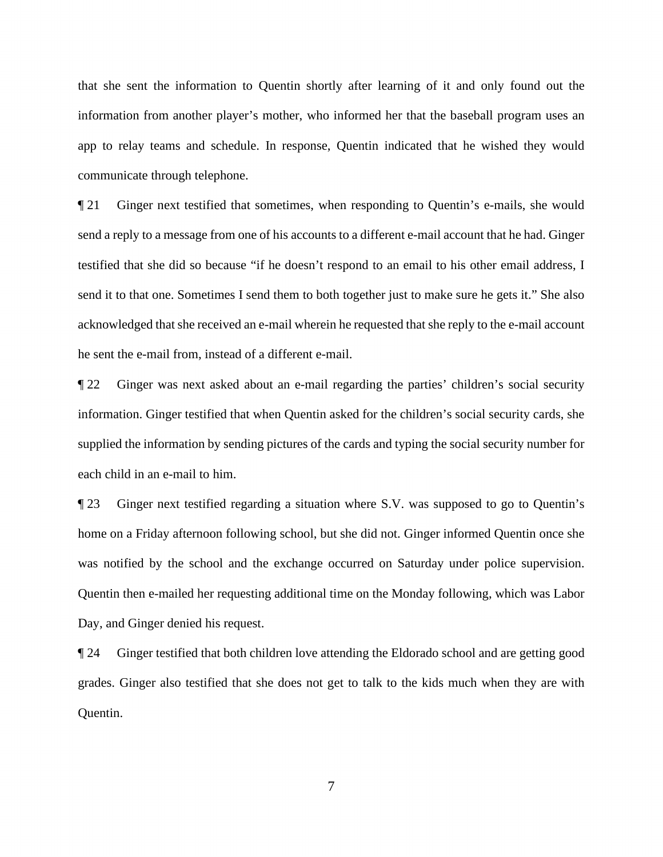that she sent the information to Quentin shortly after learning of it and only found out the information from another player's mother, who informed her that the baseball program uses an app to relay teams and schedule. In response, Quentin indicated that he wished they would communicate through telephone.

 send a reply to a message from one of his accounts to a different e-mail account that he had. Ginger ¶ 21 Ginger next testified that sometimes, when responding to Quentin's e-mails, she would testified that she did so because "if he doesn't respond to an email to his other email address, I send it to that one. Sometimes I send them to both together just to make sure he gets it." She also acknowledged that she received an e-mail wherein he requested that she reply to the e-mail account he sent the e-mail from, instead of a different e-mail.

¶ 22 Ginger was next asked about an e-mail regarding the parties' children's social security information. Ginger testified that when Quentin asked for the children's social security cards, she supplied the information by sending pictures of the cards and typing the social security number for each child in an e-mail to him.

¶ 23 Ginger next testified regarding a situation where S.V. was supposed to go to Quentin's home on a Friday afternoon following school, but she did not. Ginger informed Quentin once she was notified by the school and the exchange occurred on Saturday under police supervision. Quentin then e-mailed her requesting additional time on the Monday following, which was Labor Day, and Ginger denied his request.

¶ 24 Ginger testified that both children love attending the Eldorado school and are getting good grades. Ginger also testified that she does not get to talk to the kids much when they are with Quentin.

7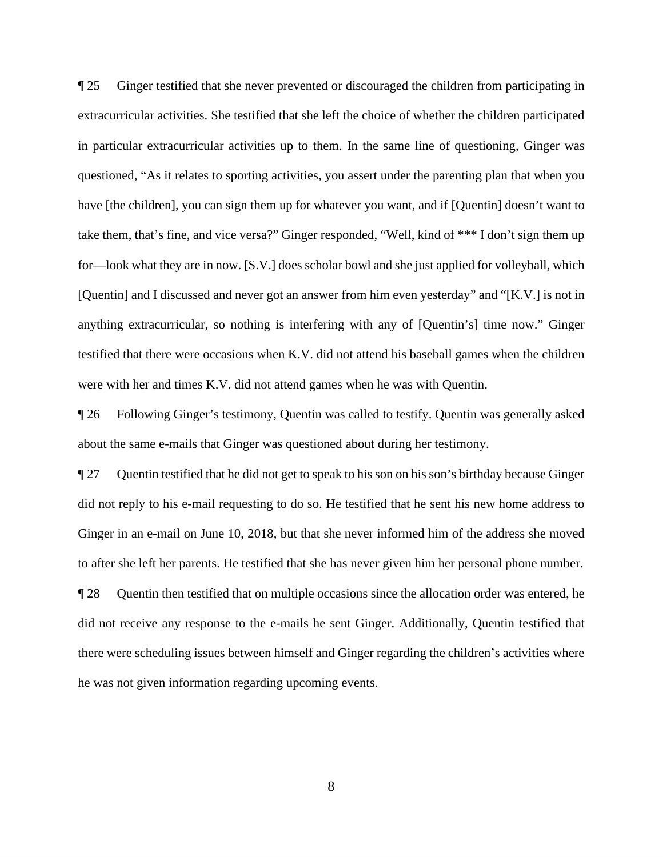¶ 25 Ginger testified that she never prevented or discouraged the children from participating in extracurricular activities. She testified that she left the choice of whether the children participated in particular extracurricular activities up to them. In the same line of questioning, Ginger was questioned, "As it relates to sporting activities, you assert under the parenting plan that when you have [the children], you can sign them up for whatever you want, and if [Quentin] doesn't want to take them, that's fine, and vice versa?" Ginger responded, "Well, kind of \*\*\* I don't sign them up for—look what they are in now. [S.V.] does scholar bowl and she just applied for volleyball, which [Quentin] and I discussed and never got an answer from him even yesterday" and "[K.V.] is not in anything extracurricular, so nothing is interfering with any of [Quentin's] time now." Ginger testified that there were occasions when K.V. did not attend his baseball games when the children were with her and times K.V. did not attend games when he was with Quentin.

¶ 26 Following Ginger's testimony, Quentin was called to testify. Quentin was generally asked about the same e-mails that Ginger was questioned about during her testimony.

 ¶ 27 Quentin testified that he did not get to speak to his son on his son's birthday because Ginger did not reply to his e-mail requesting to do so. He testified that he sent his new home address to Ginger in an e-mail on June 10, 2018, but that she never informed him of the address she moved to after she left her parents. He testified that she has never given him her personal phone number. ¶ 28 Quentin then testified that on multiple occasions since the allocation order was entered, he did not receive any response to the e-mails he sent Ginger. Additionally, Quentin testified that there were scheduling issues between himself and Ginger regarding the children's activities where he was not given information regarding upcoming events.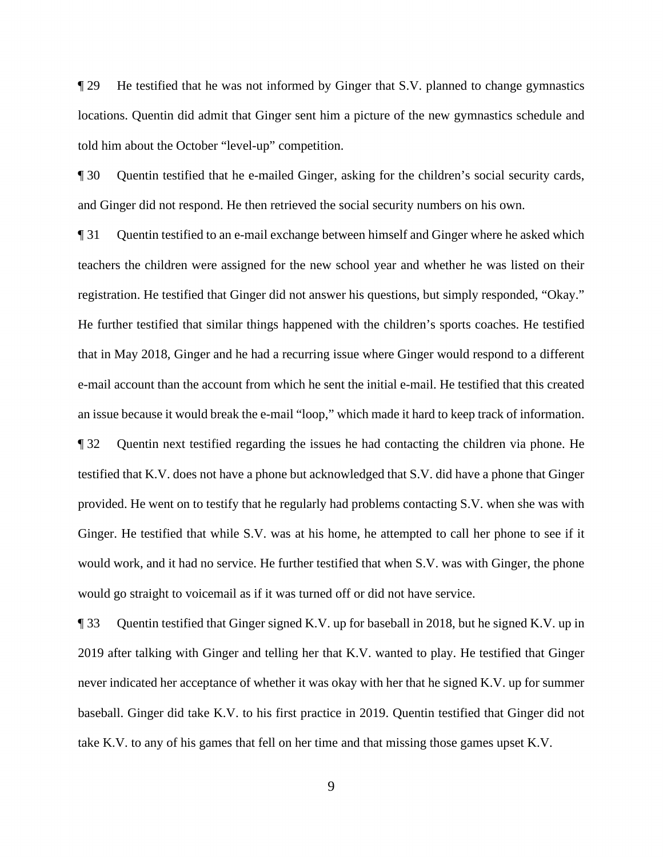¶ 29 He testified that he was not informed by Ginger that S.V. planned to change gymnastics locations. Quentin did admit that Ginger sent him a picture of the new gymnastics schedule and told him about the October "level-up" competition.

¶ 30 Quentin testified that he e-mailed Ginger, asking for the children's social security cards, and Ginger did not respond. He then retrieved the social security numbers on his own.

 teachers the children were assigned for the new school year and whether he was listed on their testified that K.V. does not have a phone but acknowledged that S.V. did have a phone that Ginger ¶ 31 Quentin testified to an e-mail exchange between himself and Ginger where he asked which registration. He testified that Ginger did not answer his questions, but simply responded, "Okay." He further testified that similar things happened with the children's sports coaches. He testified that in May 2018, Ginger and he had a recurring issue where Ginger would respond to a different e-mail account than the account from which he sent the initial e-mail. He testified that this created an issue because it would break the e-mail "loop," which made it hard to keep track of information. ¶ 32 Quentin next testified regarding the issues he had contacting the children via phone. He provided. He went on to testify that he regularly had problems contacting S.V. when she was with Ginger. He testified that while S.V. was at his home, he attempted to call her phone to see if it would work, and it had no service. He further testified that when S.V. was with Ginger, the phone would go straight to voicemail as if it was turned off or did not have service.

 never indicated her acceptance of whether it was okay with her that he signed K.V. up for summer ¶ 33 Quentin testified that Ginger signed K.V. up for baseball in 2018, but he signed K.V. up in 2019 after talking with Ginger and telling her that K.V. wanted to play. He testified that Ginger baseball. Ginger did take K.V. to his first practice in 2019. Quentin testified that Ginger did not take K.V. to any of his games that fell on her time and that missing those games upset K.V.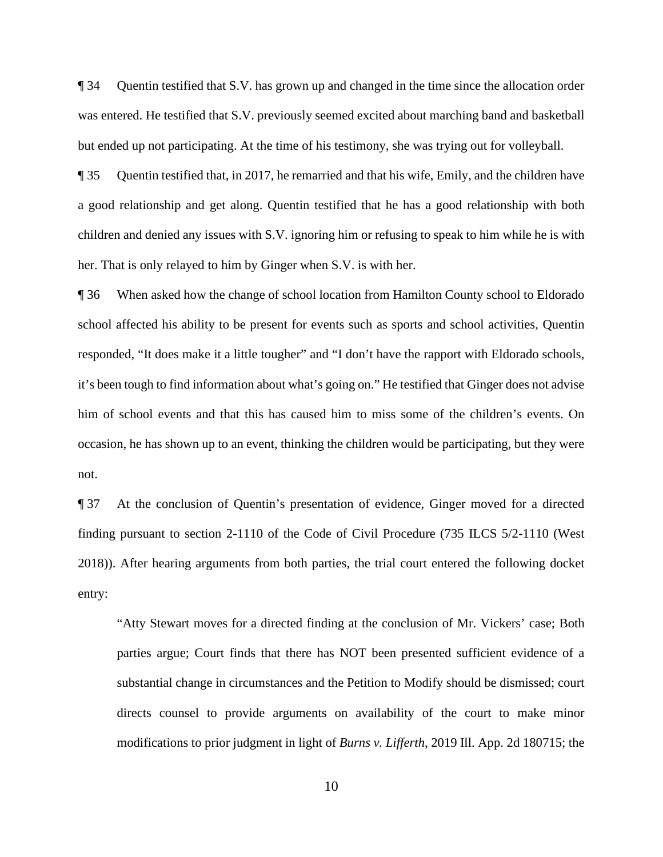¶ 34 Quentin testified that S.V. has grown up and changed in the time since the allocation order was entered. He testified that S.V. previously seemed excited about marching band and basketball but ended up not participating. At the time of his testimony, she was trying out for volleyball.

 her. That is only relayed to him by Ginger when S.V. is with her. ¶ 35 Quentin testified that, in 2017, he remarried and that his wife, Emily, and the children have a good relationship and get along. Quentin testified that he has a good relationship with both children and denied any issues with S.V. ignoring him or refusing to speak to him while he is with

¶ 36 When asked how the change of school location from Hamilton County school to Eldorado school affected his ability to be present for events such as sports and school activities, Quentin responded, "It does make it a little tougher" and "I don't have the rapport with Eldorado schools, it's been tough to find information about what's going on." He testified that Ginger does not advise him of school events and that this has caused him to miss some of the children's events. On occasion, he has shown up to an event, thinking the children would be participating, but they were not.

entry: ¶ 37 At the conclusion of Quentin's presentation of evidence, Ginger moved for a directed finding pursuant to section 2-1110 of the Code of Civil Procedure (735 ILCS 5/2-1110 (West 2018)). After hearing arguments from both parties, the trial court entered the following docket

"Atty Stewart moves for a directed finding at the conclusion of Mr. Vickers' case; Both parties argue; Court finds that there has NOT been presented sufficient evidence of a substantial change in circumstances and the Petition to Modify should be dismissed; court directs counsel to provide arguments on availability of the court to make minor modifications to prior judgment in light of *Burns v. Lifferth*, 2019 Ill. App. 2d 180715; the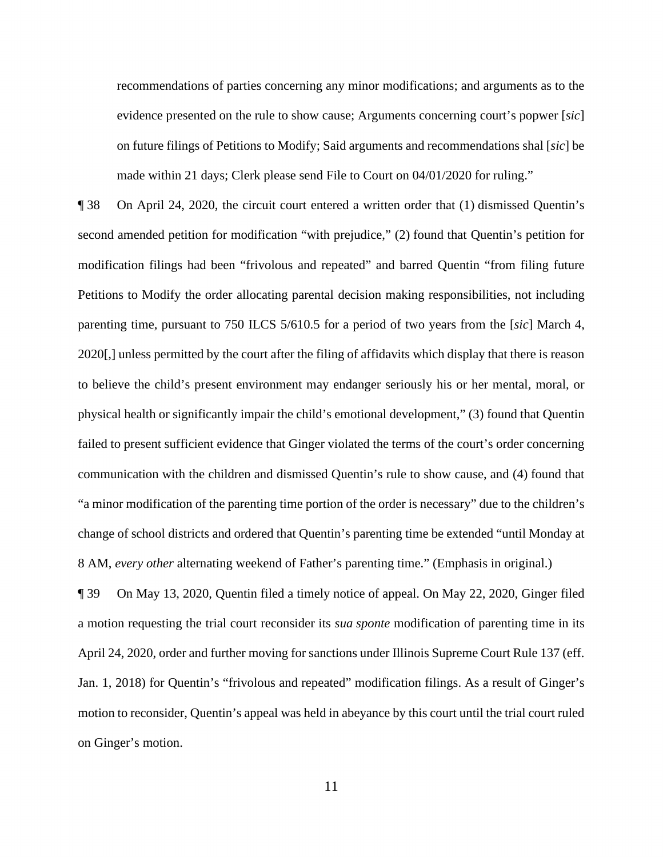recommendations of parties concerning any minor modifications; and arguments as to the evidence presented on the rule to show cause; Arguments concerning court's popwer [*sic*] on future filings of Petitions to Modify; Said arguments and recommendations shal [*sic*] be made within 21 days; Clerk please send File to Court on 04/01/2020 for ruling."

 ¶ 38 On April 24, 2020, the circuit court entered a written order that (1) dismissed Quentin's second amended petition for modification "with prejudice," (2) found that Quentin's petition for 2020[,] unless permitted by the court after the filing of affidavits which display that there is reason physical health or significantly impair the child's emotional development," (3) found that Quentin communication with the children and dismissed Quentin's rule to show cause, and (4) found that modification filings had been "frivolous and repeated" and barred Quentin "from filing future Petitions to Modify the order allocating parental decision making responsibilities, not including parenting time, pursuant to 750 ILCS 5/610.5 for a period of two years from the [*sic*] March 4, to believe the child's present environment may endanger seriously his or her mental, moral, or failed to present sufficient evidence that Ginger violated the terms of the court's order concerning "a minor modification of the parenting time portion of the order is necessary" due to the children's change of school districts and ordered that Quentin's parenting time be extended "until Monday at 8 AM, *every other* alternating weekend of Father's parenting time." (Emphasis in original.)

 a motion requesting the trial court reconsider its *sua sponte* modification of parenting time in its motion to reconsider, Quentin's appeal was held in abeyance by this court until the trial court ruled ¶ 39 On May 13, 2020, Quentin filed a timely notice of appeal. On May 22, 2020, Ginger filed April 24, 2020, order and further moving for sanctions under Illinois Supreme Court Rule 137 (eff. Jan. 1, 2018) for Quentin's "frivolous and repeated" modification filings. As a result of Ginger's on Ginger's motion.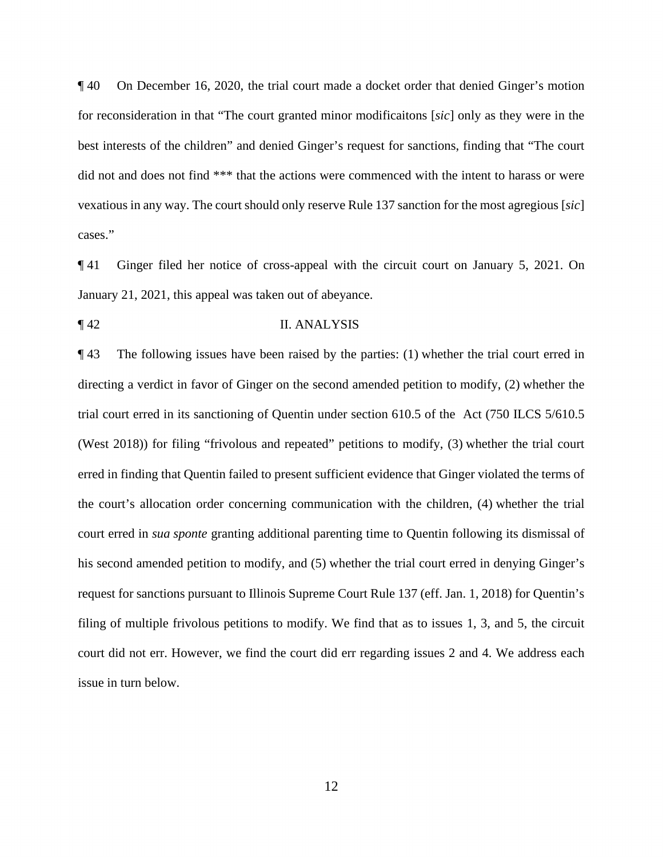¶ 40 On December 16, 2020, the trial court made a docket order that denied Ginger's motion for reconsideration in that "The court granted minor modificaitons [*sic*] only as they were in the best interests of the children" and denied Ginger's request for sanctions, finding that "The court did not and does not find \*\*\* that the actions were commenced with the intent to harass or were vexatious in any way. The court should only reserve Rule 137 sanction for the most agregious [*sic*] cases."

¶ 41 Ginger filed her notice of cross-appeal with the circuit court on January 5, 2021. On January 21, 2021, this appeal was taken out of abeyance.

#### ¶ 42 II. ANALYSIS

**The following issues have been raised by the parties:** (1) whether the trial court erred in trial court erred in its sanctioning of Quentin under section 610.5 of the Act (750 ILCS 5/610.5 (West 2018)) for filing "frivolous and repeated" petitions to modify, (3) whether the trial court court erred in *sua sponte* granting additional parenting time to Quentin following its dismissal of his second amended petition to modify, and (5) whether the trial court erred in denying Ginger's filing of multiple frivolous petitions to modify. We find that as to issues 1, 3, and 5, the circuit directing a verdict in favor of Ginger on the second amended petition to modify, (2) whether the erred in finding that Quentin failed to present sufficient evidence that Ginger violated the terms of the court's allocation order concerning communication with the children, (4) whether the trial request for sanctions pursuant to Illinois Supreme Court Rule 137 (eff. Jan. 1, 2018) for Quentin's court did not err. However, we find the court did err regarding issues 2 and 4. We address each issue in turn below.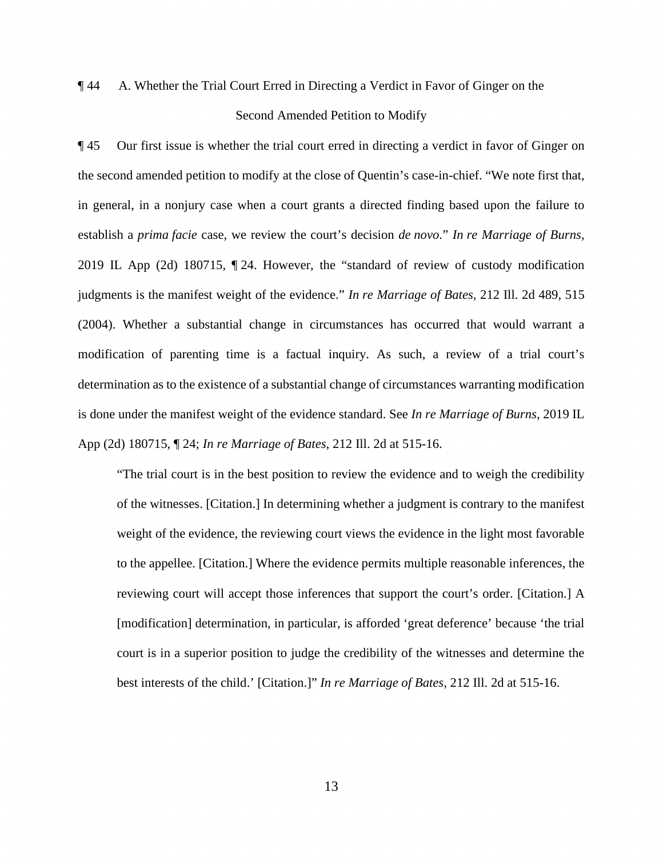# ¶ 44 A. Whether the Trial Court Erred in Directing a Verdict in Favor of Ginger on the Second Amended Petition to Modify

 2019 IL App (2d) 180715, ¶ 24. However, the "standard of review of custody modification ¶ 45 Our first issue is whether the trial court erred in directing a verdict in favor of Ginger on the second amended petition to modify at the close of Quentin's case-in-chief. "We note first that, in general, in a nonjury case when a court grants a directed finding based upon the failure to establish a *prima facie* case, we review the court's decision *de novo*." *In re Marriage of Burns*, judgments is the manifest weight of the evidence." *In re Marriage of Bates*, 212 Ill. 2d 489, 515 (2004). Whether a substantial change in circumstances has occurred that would warrant a modification of parenting time is a factual inquiry. As such, a review of a trial court's determination as to the existence of a substantial change of circumstances warranting modification is done under the manifest weight of the evidence standard. See *In re Marriage of Burns*, 2019 IL App (2d) 180715, ¶ 24; *In re Marriage of Bates*, 212 Ill. 2d at 515-16.

 of the witnesses. [Citation.] In determining whether a judgment is contrary to the manifest "The trial court is in the best position to review the evidence and to weigh the credibility weight of the evidence, the reviewing court views the evidence in the light most favorable to the appellee. [Citation.] Where the evidence permits multiple reasonable inferences, the reviewing court will accept those inferences that support the court's order. [Citation.] A [modification] determination, in particular, is afforded 'great deference' because 'the trial court is in a superior position to judge the credibility of the witnesses and determine the best interests of the child.' [Citation.]" *In re Marriage of Bates*, 212 Ill. 2d at 515-16.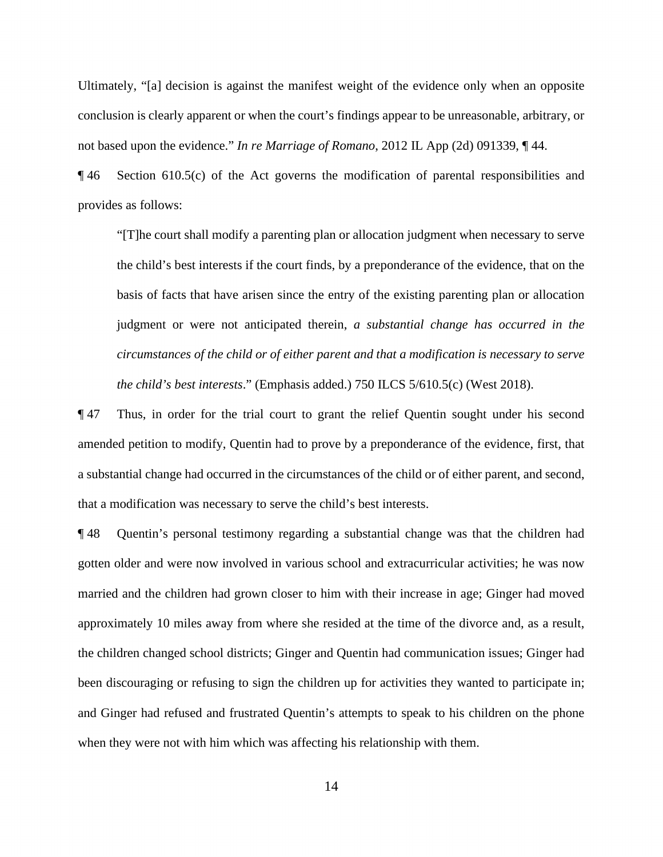conclusion is clearly apparent or when the court's findings appear to be unreasonable, arbitrary, or Ultimately, "[a] decision is against the manifest weight of the evidence only when an opposite not based upon the evidence." *In re Marriage of Romano*, 2012 IL App (2d) 091339, ¶ 44.

¶ 46 Section 610.5(c) of the Act governs the modification of parental responsibilities and provides as follows:

 the child's best interests if the court finds, by a preponderance of the evidence, that on the "[T]he court shall modify a parenting plan or allocation judgment when necessary to serve basis of facts that have arisen since the entry of the existing parenting plan or allocation judgment or were not anticipated therein, *a substantial change has occurred in the circumstances of the child or of either parent and that a modification is necessary to serve the child's best interests*." (Emphasis added.) 750 ILCS 5/610.5(c) (West 2018).

that a modification was necessary to serve the child's best interests. ¶ 47 Thus, in order for the trial court to grant the relief Quentin sought under his second amended petition to modify, Quentin had to prove by a preponderance of the evidence, first, that a substantial change had occurred in the circumstances of the child or of either parent, and second,

that a modification was necessary to serve the child's best interests.<br>
¶ 48 Quentin's personal testimony regarding a substantial change was that the children had gotten older and were now involved in various school and extracurricular activities; he was now married and the children had grown closer to him with their increase in age; Ginger had moved approximately 10 miles away from where she resided at the time of the divorce and, as a result, the children changed school districts; Ginger and Quentin had communication issues; Ginger had been discouraging or refusing to sign the children up for activities they wanted to participate in; and Ginger had refused and frustrated Quentin's attempts to speak to his children on the phone when they were not with him which was affecting his relationship with them.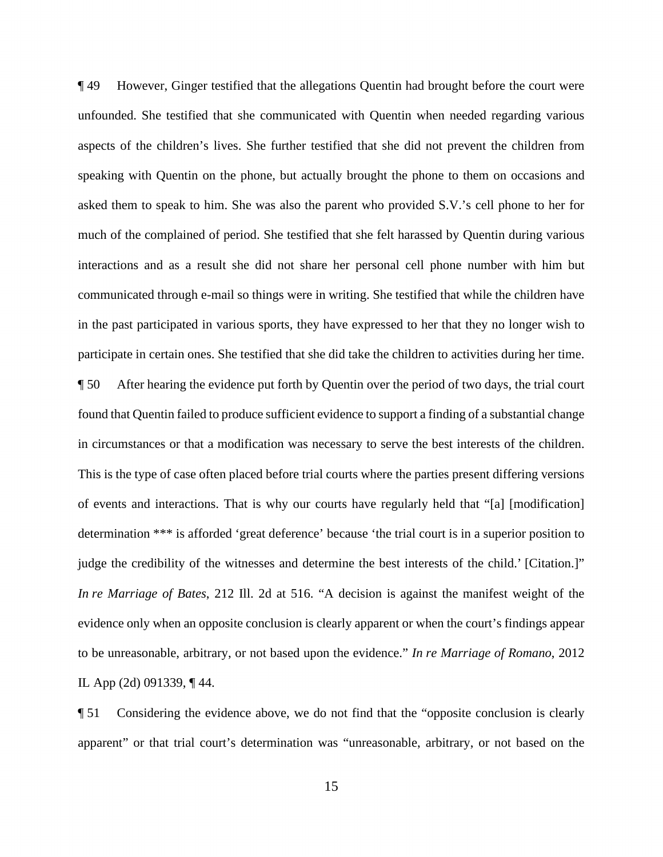communicated through e-mail so things were in writing. She testified that while the children have judge the credibility of the witnesses and determine the best interests of the child.' [Citation.]" ¶ 49 However, Ginger testified that the allegations Quentin had brought before the court were unfounded. She testified that she communicated with Quentin when needed regarding various aspects of the children's lives. She further testified that she did not prevent the children from speaking with Quentin on the phone, but actually brought the phone to them on occasions and asked them to speak to him. She was also the parent who provided S.V.'s cell phone to her for much of the complained of period. She testified that she felt harassed by Quentin during various interactions and as a result she did not share her personal cell phone number with him but in the past participated in various sports, they have expressed to her that they no longer wish to participate in certain ones. She testified that she did take the children to activities during her time. ¶ 50 After hearing the evidence put forth by Quentin over the period of two days, the trial court found that Quentin failed to produce sufficient evidence to support a finding of a substantial change in circumstances or that a modification was necessary to serve the best interests of the children. This is the type of case often placed before trial courts where the parties present differing versions of events and interactions. That is why our courts have regularly held that "[a] [modification] determination \*\*\* is afforded 'great deference' because 'the trial court is in a superior position to *In re Marriage of Bates*, 212 Ill. 2d at 516. "A decision is against the manifest weight of the evidence only when an opposite conclusion is clearly apparent or when the court's findings appear to be unreasonable, arbitrary, or not based upon the evidence." *In re Marriage of Romano*, 2012 IL App (2d) 091339, ¶ 44.

¶ 51 Considering the evidence above, we do not find that the "opposite conclusion is clearly apparent" or that trial court's determination was "unreasonable, arbitrary, or not based on the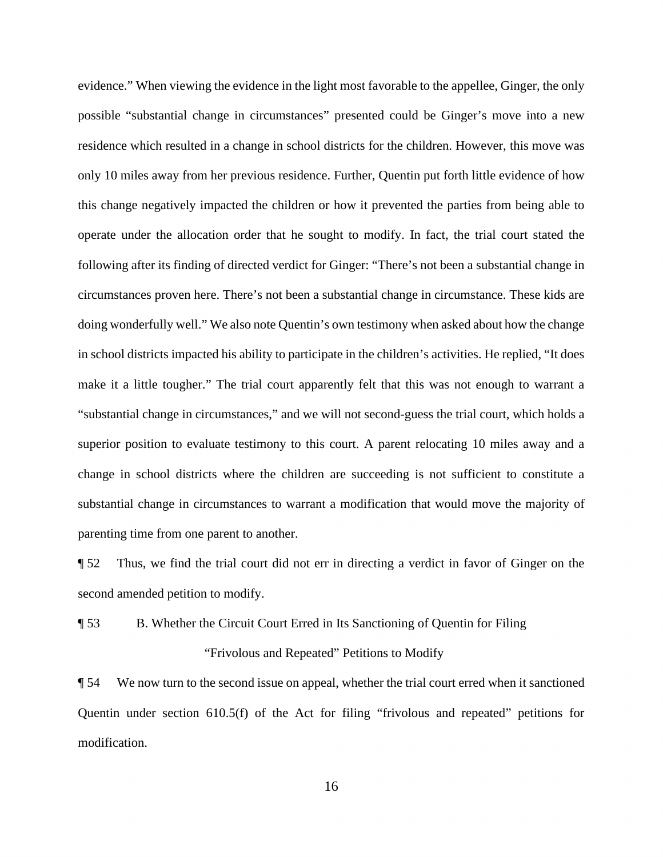make it a little tougher." The trial court apparently felt that this was not enough to warrant a evidence." When viewing the evidence in the light most favorable to the appellee, Ginger, the only possible "substantial change in circumstances" presented could be Ginger's move into a new residence which resulted in a change in school districts for the children. However, this move was only 10 miles away from her previous residence. Further, Quentin put forth little evidence of how this change negatively impacted the children or how it prevented the parties from being able to operate under the allocation order that he sought to modify. In fact, the trial court stated the following after its finding of directed verdict for Ginger: "There's not been a substantial change in circumstances proven here. There's not been a substantial change in circumstance. These kids are doing wonderfully well." We also note Quentin's own testimony when asked about how the change in school districts impacted his ability to participate in the children's activities. He replied, "It does "substantial change in circumstances," and we will not second-guess the trial court, which holds a superior position to evaluate testimony to this court. A parent relocating 10 miles away and a change in school districts where the children are succeeding is not sufficient to constitute a substantial change in circumstances to warrant a modification that would move the majority of parenting time from one parent to another.

¶ 52 Thus, we find the trial court did not err in directing a verdict in favor of Ginger on the second amended petition to modify.

¶ 53 B. Whether the Circuit Court Erred in Its Sanctioning of Quentin for Filing "Frivolous and Repeated" Petitions to Modify

 Quentin under section 610.5(f) of the Act for filing "frivolous and repeated" petitions for modification. ¶ 54 We now turn to the second issue on appeal, whether the trial court erred when it sanctioned modification.<br>
16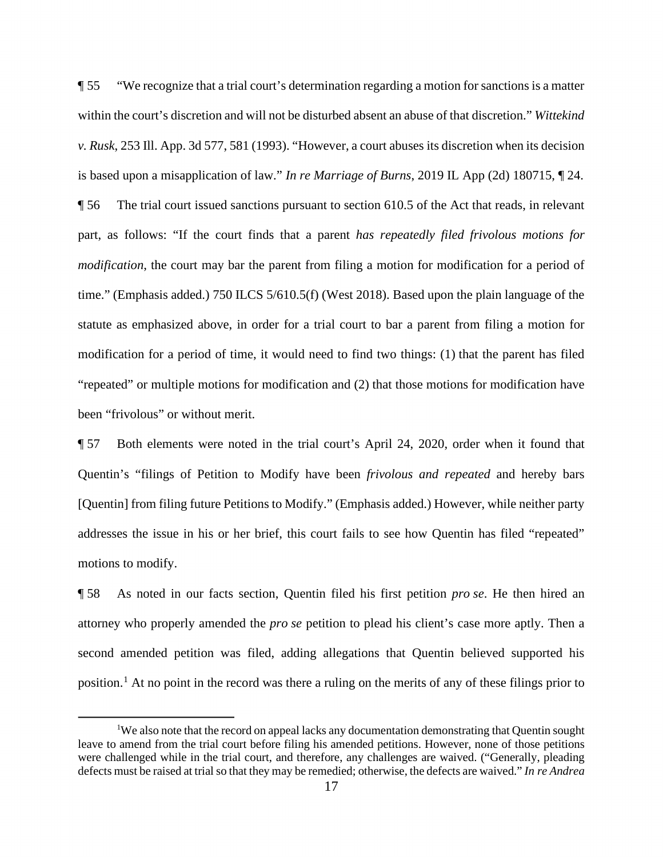**The Summan Step is 20** "We recognize that a trial court's determination regarding a motion for sanctions is a matter ¶ 56 The trial court issued sanctions pursuant to section 610.5 of the Act that reads, in relevant modification for a period of time, it would need to find two things: (1) that the parent has filed "repeated" or multiple motions for modification and (2) that those motions for modification have within the court's discretion and will not be disturbed absent an abuse of that discretion." *Wittekind v. Rusk*, 253 Ill. App. 3d 577, 581 (1993). "However, a court abuses its discretion when its decision is based upon a misapplication of law." *In re Marriage of Burns*, 2019 IL App (2d) 180715, ¶ 24. part, as follows: "If the court finds that a parent *has repeatedly filed frivolous motions for modification*, the court may bar the parent from filing a motion for modification for a period of time." (Emphasis added.) 750 ILCS 5/610.5(f) (West 2018). Based upon the plain language of the statute as emphasized above, in order for a trial court to bar a parent from filing a motion for been "frivolous" or without merit.

 ¶ 57 Both elements were noted in the trial court's April 24, 2020, order when it found that Quentin's "filings of Petition to Modify have been *frivolous and repeated* and hereby bars [Quentin] from filing future Petitions to Modify." (Emphasis added.) However, while neither party addresses the issue in his or her brief, this court fails to see how Quentin has filed "repeated" motions to modify.

 attorney who properly amended the *pro se* petition to plead his client's case more aptly. Then a ¶ 58 As noted in our facts section, Quentin filed his first petition *pro se*. He then hired an second amended petition was filed, adding allegations that Quentin believed supported his position.<sup>1</sup> At no point in the record was there a ruling on the merits of any of these filings prior to

 leave to amend from the trial court before filing his amended petitions. However, none of those petitions were challenged while in the trial court, and therefore, any challenges are waived. ("Generally, pleading defects must be raised at trial so that they may be remedied; otherwise, the defects are waived." *In re Andrea*  <sup>1</sup>We also note that the record on appeal lacks any documentation demonstrating that Quentin sought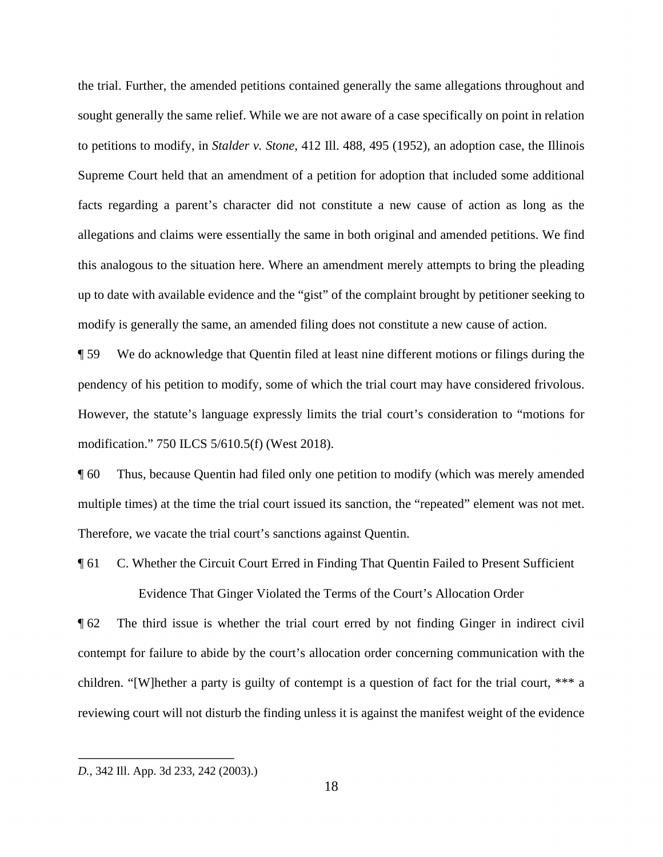to petitions to modify, in *Stalder v. Stone*, 412 Ill. 488, 495 (1952), an adoption case, the Illinois facts regarding a parent's character did not constitute a new cause of action as long as the modify is generally the same, an amended filing does not constitute a new cause of action. the trial. Further, the amended petitions contained generally the same allegations throughout and sought generally the same relief. While we are not aware of a case specifically on point in relation Supreme Court held that an amendment of a petition for adoption that included some additional allegations and claims were essentially the same in both original and amended petitions. We find this analogous to the situation here. Where an amendment merely attempts to bring the pleading up to date with available evidence and the "gist" of the complaint brought by petitioner seeking to

¶ 59 We do acknowledge that Quentin filed at least nine different motions or filings during the pendency of his petition to modify, some of which the trial court may have considered frivolous. However, the statute's language expressly limits the trial court's consideration to "motions for modification." 750 ILCS 5/610.5(f) (West 2018).

¶ 60 Thus, because Quentin had filed only one petition to modify (which was merely amended multiple times) at the time the trial court issued its sanction, the "repeated" element was not met. Therefore, we vacate the trial court's sanctions against Quentin.

¶ 61 C. Whether the Circuit Court Erred in Finding That Quentin Failed to Present Sufficient Evidence That Ginger Violated the Terms of the Court's Allocation Order

 ¶ 62 The third issue is whether the trial court erred by not finding Ginger in indirect civil contempt for failure to abide by the court's allocation order concerning communication with the children. "[W]hether a party is guilty of contempt is a question of fact for the trial court, \*\*\* a reviewing court will not disturb the finding unless it is against the manifest weight of the evidence

*D.*, 342 Ill. App. 3d 233, 242 (2003).)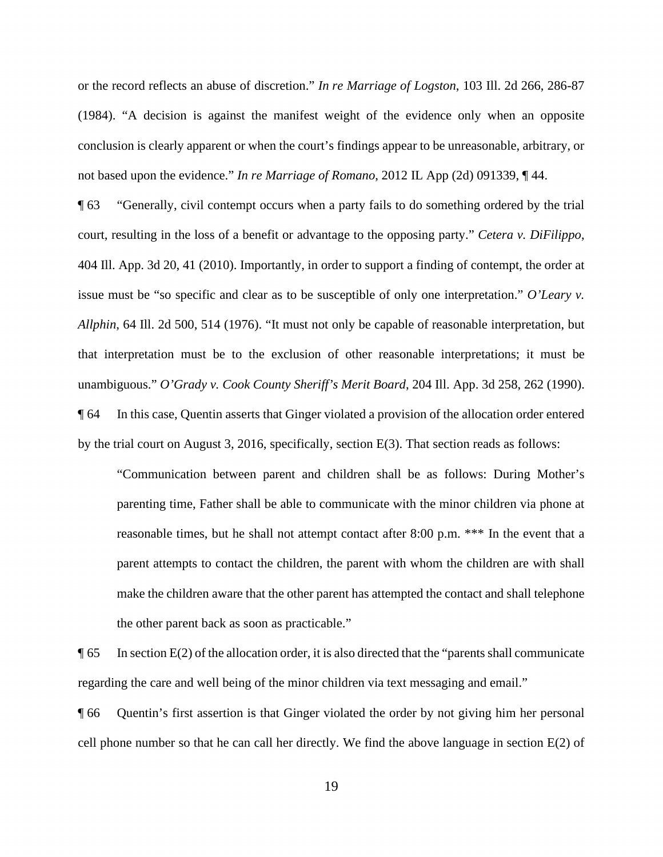conclusion is clearly apparent or when the court's findings appear to be unreasonable, arbitrary, or or the record reflects an abuse of discretion." *In re Marriage of Logston*, 103 Ill. 2d 266, 286-87 (1984). "A decision is against the manifest weight of the evidence only when an opposite not based upon the evidence." *In re Marriage of Romano*, 2012 IL App (2d) 091339, ¶ 44.

 ¶ 64 In this case, Quentin asserts that Ginger violated a provision of the allocation order entered ¶ 63 "Generally, civil contempt occurs when a party fails to do something ordered by the trial court, resulting in the loss of a benefit or advantage to the opposing party." *Cetera v. DiFilippo*, 404 Ill. App. 3d 20, 41 (2010). Importantly, in order to support a finding of contempt, the order at issue must be "so specific and clear as to be susceptible of only one interpretation." *O'Leary v. Allphin*, 64 Ill. 2d 500, 514 (1976). "It must not only be capable of reasonable interpretation, but that interpretation must be to the exclusion of other reasonable interpretations; it must be unambiguous." *O'Grady v. Cook County Sheriff's Merit Board*, 204 Ill. App. 3d 258, 262 (1990). by the trial court on August 3, 2016, specifically, section E(3). That section reads as follows:

"Communication between parent and children shall be as follows: During Mother's parenting time, Father shall be able to communicate with the minor children via phone at reasonable times, but he shall not attempt contact after 8:00 p.m. \*\*\* In the event that a parent attempts to contact the children, the parent with whom the children are with shall make the children aware that the other parent has attempted the contact and shall telephone the other parent back as soon as practicable."

regarding the care and well being of the minor children via text messaging and email."  $\[\,$  65 In section E(2) of the allocation order, it is also directed that the "parents shall communicate"

**The caregaryier of the minor children via text** message of the minor children via text message of the message of the message of the personal. The personal set of the order by not giving him her personal set of the  $\frac{1}{2$ cell phone number so that he can call her directly. We find the above language in section E(2) of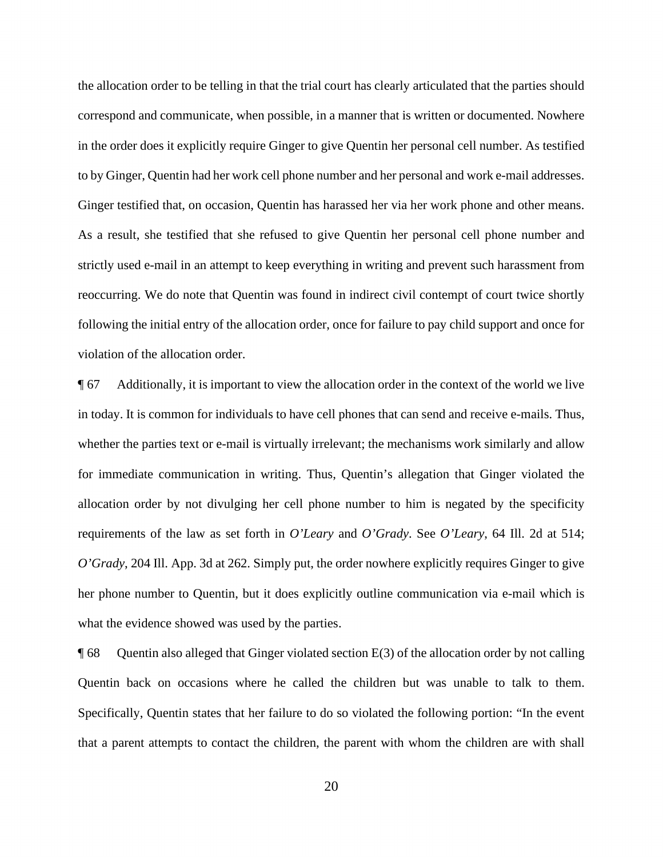correspond and communicate, when possible, in a manner that is written or documented. Nowhere in the order does it explicitly require Ginger to give Quentin her personal cell number. As testified As a result, she testified that she refused to give Quentin her personal cell phone number and the allocation order to be telling in that the trial court has clearly articulated that the parties should to by Ginger, Quentin had her work cell phone number and her personal and work e-mail addresses. Ginger testified that, on occasion, Quentin has harassed her via her work phone and other means. strictly used e-mail in an attempt to keep everything in writing and prevent such harassment from reoccurring. We do note that Quentin was found in indirect civil contempt of court twice shortly following the initial entry of the allocation order, once for failure to pay child support and once for violation of the allocation order.

 whether the parties text or e-mail is virtually irrelevant; the mechanisms work similarly and allow requirements of the law as set forth in *O'Leary* and *O'Grady*. See *O'Leary*, 64 Ill. 2d at 514; ¶ 67 Additionally, it is important to view the allocation order in the context of the world we live in today. It is common for individuals to have cell phones that can send and receive e-mails. Thus, for immediate communication in writing. Thus, Quentin's allegation that Ginger violated the allocation order by not divulging her cell phone number to him is negated by the specificity *O'Grady*, 204 Ill. App. 3d at 262. Simply put, the order nowhere explicitly requires Ginger to give her phone number to Quentin, but it does explicitly outline communication via e-mail which is what the evidence showed was used by the parties.

 $\P$  68 Quentin also alleged that Ginger violated section  $E(3)$  of the allocation order by not calling Quentin back on occasions where he called the children but was unable to talk to them. Specifically, Quentin states that her failure to do so violated the following portion: "In the event that a parent attempts to contact the children, the parent with whom the children are with shall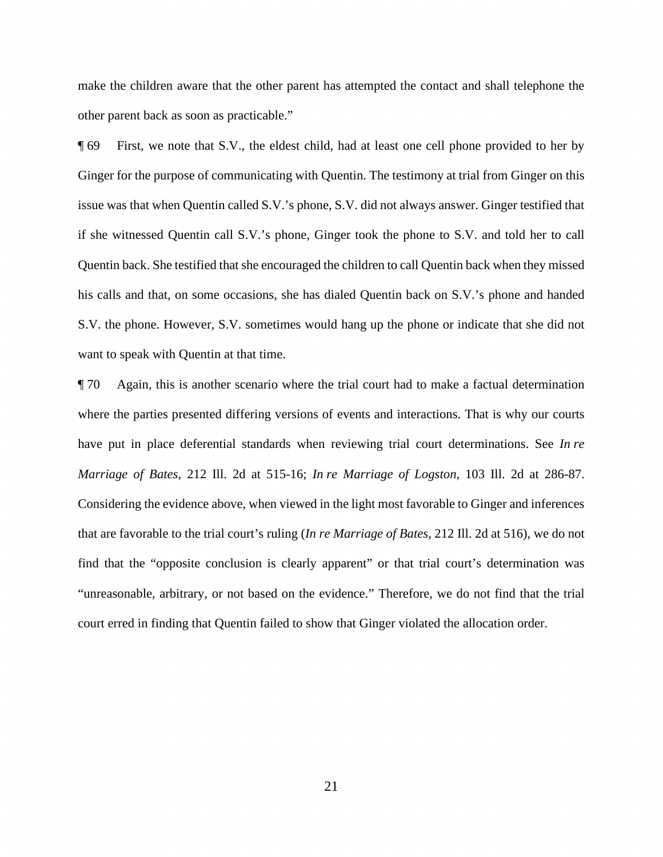make the children aware that the other parent has attempted the contact and shall telephone the other parent back as soon as practicable."

 S.V. the phone. However, S.V. sometimes would hang up the phone or indicate that she did not ¶ 69 First, we note that S.V., the eldest child, had at least one cell phone provided to her by Ginger for the purpose of communicating with Quentin. The testimony at trial from Ginger on this issue was that when Quentin called S.V.'s phone, S.V. did not always answer. Ginger testified that if she witnessed Quentin call S.V.'s phone, Ginger took the phone to S.V. and told her to call Quentin back. She testified that she encouraged the children to call Quentin back when they missed his calls and that, on some occasions, she has dialed Quentin back on S.V.'s phone and handed want to speak with Quentin at that time.

 where the parties presented differing versions of events and interactions. That is why our courts have put in place deferential standards when reviewing trial court determinations. See *In re Marriage of Bates*, 212 Ill. 2d at 515-16; *In re Marriage of Logston*, 103 Ill. 2d at 286-87. ¶ 70 Again, this is another scenario where the trial court had to make a factual determination Considering the evidence above, when viewed in the light most favorable to Ginger and inferences that are favorable to the trial court's ruling (*In re Marriage of Bates*, 212 Ill. 2d at 516), we do not find that the "opposite conclusion is clearly apparent" or that trial court's determination was "unreasonable, arbitrary, or not based on the evidence." Therefore, we do not find that the trial court erred in finding that Quentin failed to show that Ginger violated the allocation order.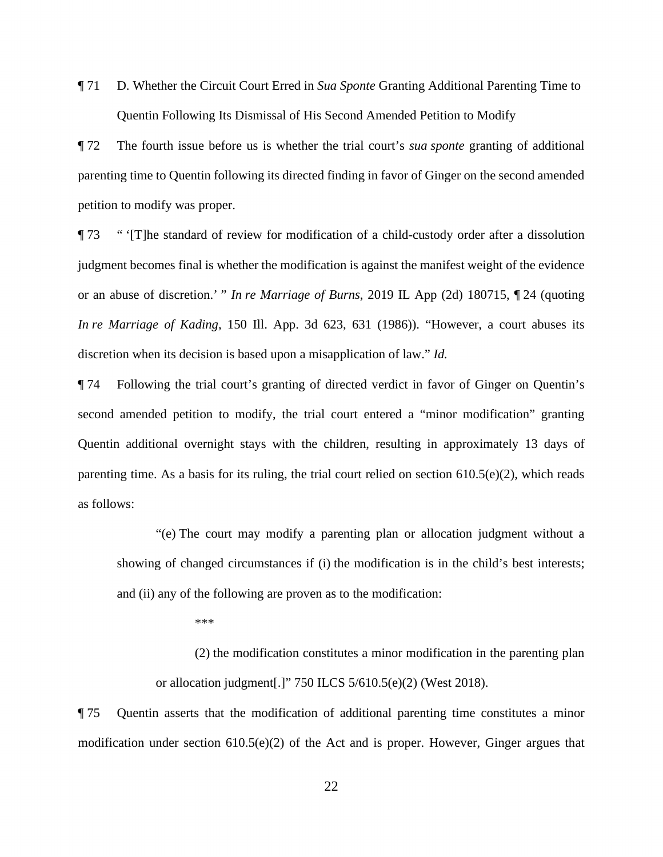¶ 71 D. Whether the Circuit Court Erred in *Sua Sponte* Granting Additional Parenting Time to Quentin Following Its Dismissal of His Second Amended Petition to Modify

¶ 72 The fourth issue before us is whether the trial court's *sua sponte* granting of additional parenting time to Quentin following its directed finding in favor of Ginger on the second amended petition to modify was proper.

 or an abuse of discretion.' " *In re Marriage of Burns*, 2019 IL App (2d) 180715, ¶ 24 (quoting discretion when its decision is based upon a misapplication of law." *Id.*  ¶ 73 " '[T]he standard of review for modification of a child-custody order after a dissolution judgment becomes final is whether the modification is against the manifest weight of the evidence *In re Marriage of Kading*, 150 Ill. App. 3d 623, 631 (1986)). "However, a court abuses its

¶ 74 Following the trial court's granting of directed verdict in favor of Ginger on Quentin's second amended petition to modify, the trial court entered a "minor modification" granting Quentin additional overnight stays with the children, resulting in approximately 13 days of parenting time. As a basis for its ruling, the trial court relied on section  $610.5(e)(2)$ , which reads as follows:

and (ii) any of the following are proven as to the modification:<br>\*\*\* "(e) The court may modify a parenting plan or allocation judgment without a showing of changed circumstances if (i) the modification is in the child's best interests;

(2) the modification constitutes a minor modification in the parenting plan or allocation judgment[.]" 750 ILCS 5/610.5(e)(2) (West 2018).

¶ 75 Quentin asserts that the modification of additional parenting time constitutes a minor modification under section  $610.5(e)(2)$  of the Act and is proper. However, Ginger argues that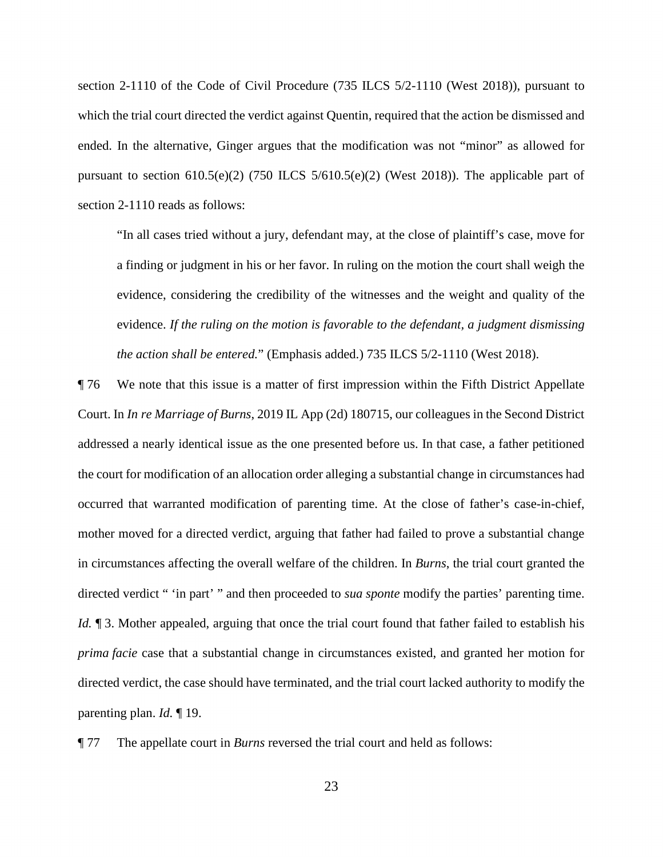section 2-1110 reads as follows: section 2-1110 reads as follows:<br>"In all cases tried without a jury, defendant may, at the close of plaintiff's case, move for section 2-1110 of the Code of Civil Procedure (735 ILCS 5/2-1110 (West 2018)), pursuant to which the trial court directed the verdict against Quentin, required that the action be dismissed and ended. In the alternative, Ginger argues that the modification was not "minor" as allowed for pursuant to section 610.5(e)(2) (750 ILCS 5/610.5(e)(2) (West 2018)). The applicable part of

 a finding or judgment in his or her favor. In ruling on the motion the court shall weigh the evidence, considering the credibility of the witnesses and the weight and quality of the evidence. *If the ruling on the motion is favorable to the defendant, a judgment dismissing the action shall be entered.*" (Emphasis added.) 735 ILCS 5/2-1110 (West 2018).

 ¶ 76 We note that this issue is a matter of first impression within the Fifth District Appellate Court. In *In re Marriage of Burns*, 2019 IL App (2d) 180715, our colleagues in the Second District occurred that warranted modification of parenting time. At the close of father's case-in-chief, in circumstances affecting the overall welfare of the children. In *Burns*, the trial court granted the directed verdict " 'in part' " and then proceeded to *sua sponte* modify the parties' parenting time. directed verdict, the case should have terminated, and the trial court lacked authority to modify the addressed a nearly identical issue as the one presented before us. In that case, a father petitioned the court for modification of an allocation order alleging a substantial change in circumstances had mother moved for a directed verdict, arguing that father had failed to prove a substantial change *Id.*  $\P$  3. Mother appealed, arguing that once the trial court found that father failed to establish his *prima facie* case that a substantial change in circumstances existed, and granted her motion for parenting plan. *Id.* ¶ 19.

¶ 77 The appellate court in *Burns* reversed the trial court and held as follows: 23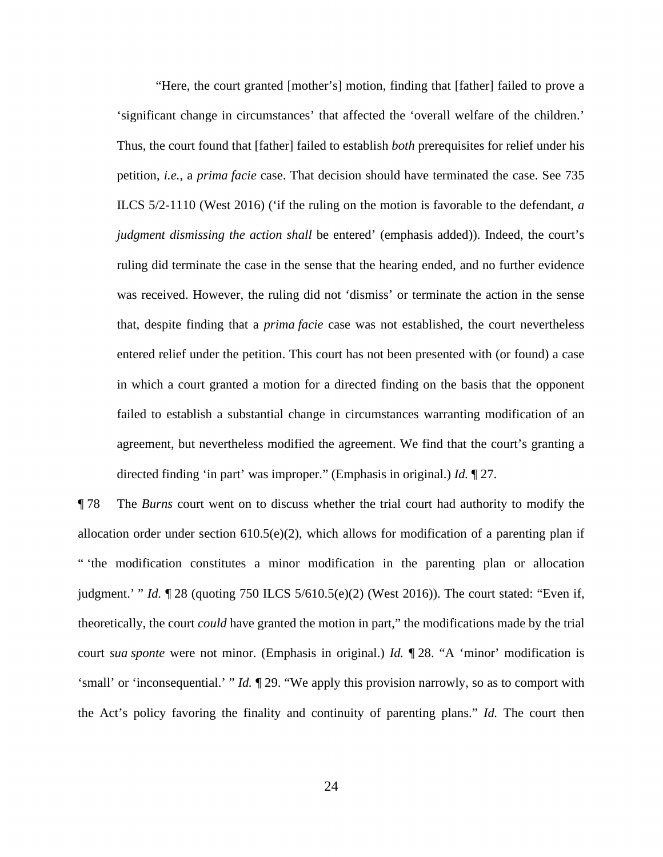"Here, the court granted [mother's] motion, finding that [father] failed to prove a entered relief under the petition. This court has not been presented with (or found) a case directed finding 'in part' was improper." (Emphasis in original.) *Id.* ¶ 27. 'significant change in circumstances' that affected the 'overall welfare of the children.' Thus, the court found that [father] failed to establish *both* prerequisites for relief under his petition, *i.e.*, a *prima facie* case. That decision should have terminated the case. See 735 ILCS 5/2-1110 (West 2016) ('if the ruling on the motion is favorable to the defendant, *a judgment dismissing the action shall* be entered' (emphasis added)). Indeed, the court's ruling did terminate the case in the sense that the hearing ended, and no further evidence was received. However, the ruling did not 'dismiss' or terminate the action in the sense that, despite finding that a *prima facie* case was not established, the court nevertheless in which a court granted a motion for a directed finding on the basis that the opponent failed to establish a substantial change in circumstances warranting modification of an agreement, but nevertheless modified the agreement. We find that the court's granting a

 ¶ 78 The *Burns* court went on to discuss whether the trial court had authority to modify the allocation order under section 610.5(e)(2), which allows for modification of a parenting plan if judgment.' " *Id.* ¶ 28 (quoting 750 ILCS 5/610.5(e)(2) (West 2016)). The court stated: "Even if, court *sua sponte* were not minor. (Emphasis in original.) *Id.* ¶ 28. "A 'minor' modification is 'small' or 'inconsequential.' " *Id.* ¶ 29. "We apply this provision narrowly, so as to comport with the Act's policy favoring the finality and continuity of parenting plans." *Id.* The court then " 'the modification constitutes a minor modification in the parenting plan or allocation theoretically, the court *could* have granted the motion in part," the modifications made by the trial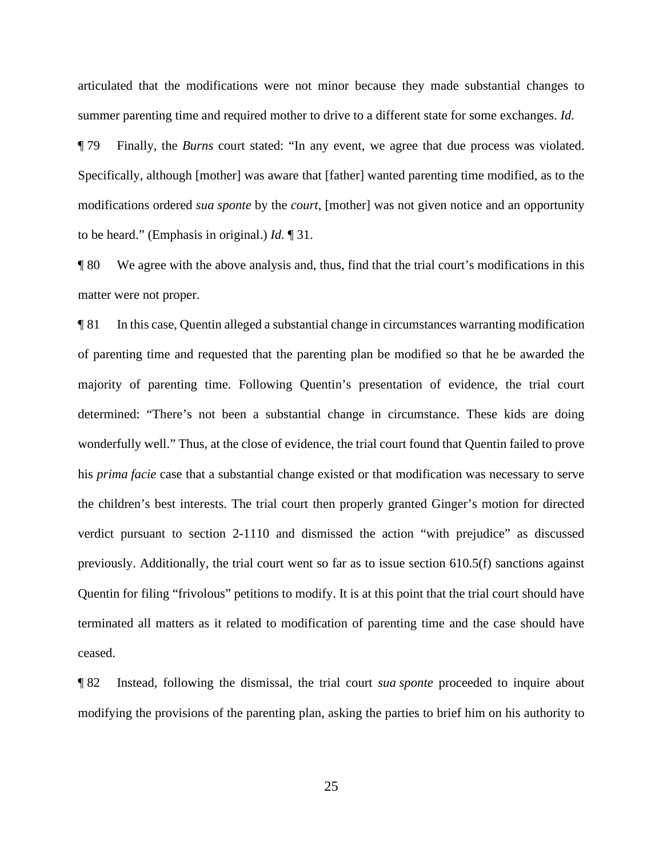articulated that the modifications were not minor because they made substantial changes to summer parenting time and required mother to drive to a different state for some exchanges. *Id.* 

 ¶ 79 Finally, the *Burns* court stated: "In any event, we agree that due process was violated. to be heard." (Emphasis in original.) *Id.* ¶ 31. Specifically, although [mother] was aware that [father] wanted parenting time modified, as to the modifications ordered *sua sponte* by the *court*, [mother] was not given notice and an opportunity

 ¶ 80 We agree with the above analysis and, thus, find that the trial court's modifications in this matter were not proper.

 his *prima facie* case that a substantial change existed or that modification was necessary to serve previously. Additionally, the trial court went so far as to issue section 610.5(f) sanctions against ¶ 81 In this case, Quentin alleged a substantial change in circumstances warranting modification of parenting time and requested that the parenting plan be modified so that he be awarded the majority of parenting time. Following Quentin's presentation of evidence, the trial court determined: "There's not been a substantial change in circumstance. These kids are doing wonderfully well." Thus, at the close of evidence, the trial court found that Quentin failed to prove the children's best interests. The trial court then properly granted Ginger's motion for directed verdict pursuant to section 2-1110 and dismissed the action "with prejudice" as discussed Quentin for filing "frivolous" petitions to modify. It is at this point that the trial court should have terminated all matters as it related to modification of parenting time and the case should have ceased.

¶ 82 Instead, following the dismissal, the trial court *sua sponte* proceeded to inquire about modifying the provisions of the parenting plan, asking the parties to brief him on his authority to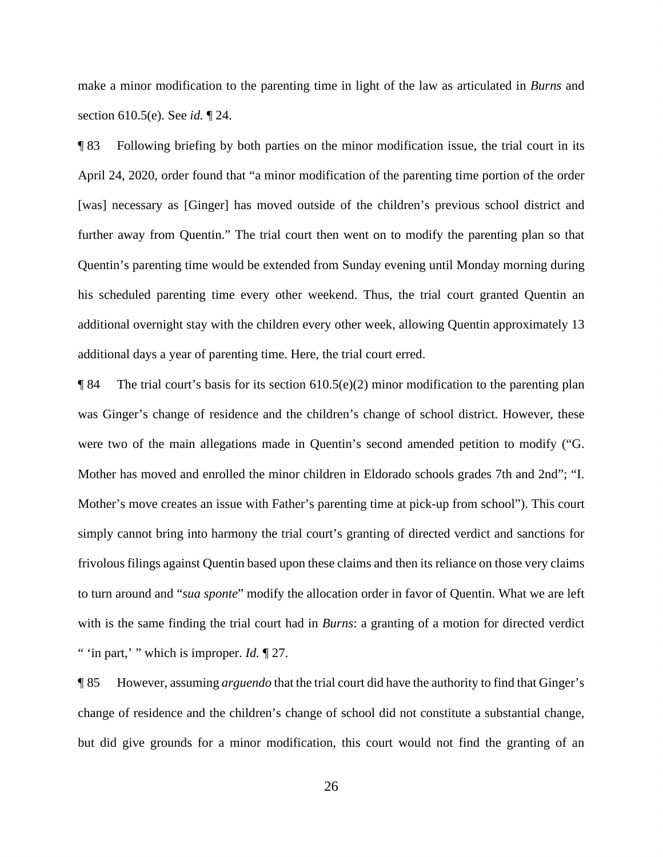make a minor modification to the parenting time in light of the law as articulated in *Burns* and section 610.5(e). See *id.* ¶ 24.

 further away from Quentin." The trial court then went on to modify the parenting plan so that ¶ 83 Following briefing by both parties on the minor modification issue, the trial court in its April 24, 2020, order found that "a minor modification of the parenting time portion of the order [was] necessary as [Ginger] has moved outside of the children's previous school district and Quentin's parenting time would be extended from Sunday evening until Monday morning during his scheduled parenting time every other weekend. Thus, the trial court granted Quentin an additional overnight stay with the children every other week, allowing Quentin approximately 13 additional days a year of parenting time. Here, the trial court erred.

 $\P$  84 The trial court's basis for its section 610.5(e)(2) minor modification to the parenting plan Mother has moved and enrolled the minor children in Eldorado schools grades 7th and 2nd"; "I. frivolous filings against Quentin based upon these claims and then its reliance on those very claims with is the same finding the trial court had in *Burns*: a granting of a motion for directed verdict " 'in part,' " which is improper. *Id.* ¶ 27. was Ginger's change of residence and the children's change of school district. However, these were two of the main allegations made in Quentin's second amended petition to modify ("G. Mother's move creates an issue with Father's parenting time at pick-up from school"). This court simply cannot bring into harmony the trial court's granting of directed verdict and sanctions for to turn around and "*sua sponte*" modify the allocation order in favor of Quentin. What we are left

 but did give grounds for a minor modification, this court would not find the granting of an ¶ 85 However, assuming *arguendo* that the trial court did have the authority to find that Ginger's change of residence and the children's change of school did not constitute a substantial change,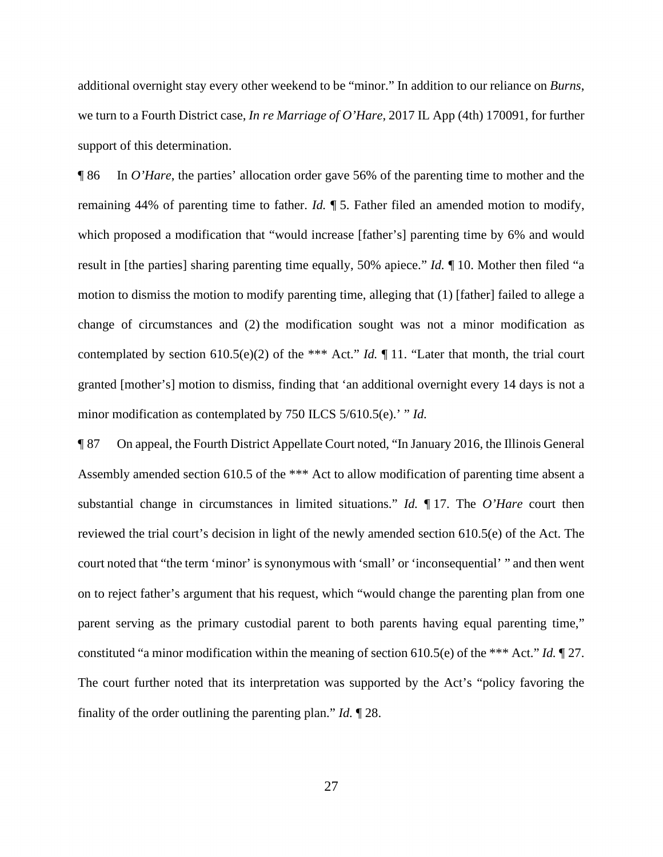we turn to a Fourth District case, *In re Marriage of O'Hare*, 2017 IL App (4th) 170091, for further additional overnight stay every other weekend to be "minor." In addition to our reliance on *Burns*, support of this determination.

 remaining 44% of parenting time to father. *Id.* ¶ 5. Father filed an amended motion to modify, which proposed a modification that "would increase [father's] parenting time by 6% and would result in [the parties] sharing parenting time equally, 50% apiece." *Id.* ¶ 10. Mother then filed "a motion to dismiss the motion to modify parenting time, alleging that (1) [father] failed to allege a change of circumstances and (2) the modification sought was not a minor modification as minor modification as contemplated by 750 ILCS 5/610.5(e).' " *Id.*  ¶ 86 In *O'Hare*, the parties' allocation order gave 56% of the parenting time to mother and the contemplated by section 610.5(e)(2) of the \*\*\* Act." *Id.* ¶ 11. "Later that month, the trial court granted [mother's] motion to dismiss, finding that 'an additional overnight every 14 days is not a

 Assembly amended section 610.5 of the \*\*\* Act to allow modification of parenting time absent a substantial change in circumstances in limited situations." *Id.* ¶ 17. The *O'Hare* court then constituted "a minor modification within the meaning of section 610.5(e) of the \*\*\* Act." *Id.* ¶ 27. finality of the order outlining the parenting plan." *Id.* ¶ 28. ¶ 87 On appeal, the Fourth District Appellate Court noted, "In January 2016, the Illinois General reviewed the trial court's decision in light of the newly amended section 610.5(e) of the Act. The court noted that "the term 'minor' is synonymous with 'small' or 'inconsequential' " and then went on to reject father's argument that his request, which "would change the parenting plan from one parent serving as the primary custodial parent to both parents having equal parenting time," The court further noted that its interpretation was supported by the Act's "policy favoring the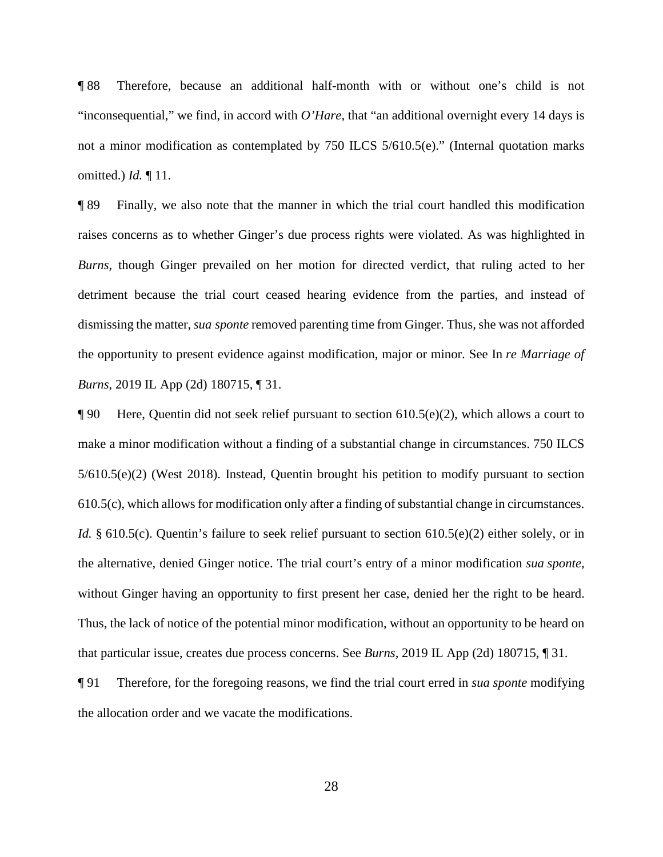¶ 88 Therefore, because an additional half-month with or without one's child is not "inconsequential," we find, in accord with *O'Hare*, that "an additional overnight every 14 days is not a minor modification as contemplated by 750 ILCS 5/610.5(e)." (Internal quotation marks omitted.) *Id.* ¶ 11.

 *Burns*, 2019 IL App (2d) 180715, ¶ 31. ¶ 89 Finally, we also note that the manner in which the trial court handled this modification raises concerns as to whether Ginger's due process rights were violated. As was highlighted in *Burns*, though Ginger prevailed on her motion for directed verdict, that ruling acted to her detriment because the trial court ceased hearing evidence from the parties, and instead of dismissing the matter, *sua sponte* removed parenting time from Ginger. Thus, she was not afforded the opportunity to present evidence against modification, major or minor. See In *re Marriage of* 

 $\P$  90 Here, Quentin did not seek relief pursuant to section 610.5(e)(2), which allows a court to make a minor modification without a finding of a substantial change in circumstances. 750 ILCS 5/610.5(e)(2) (West 2018). Instead, Quentin brought his petition to modify pursuant to section 610.5(c), which allows for modification only after a finding of substantial change in circumstances. *Id.* § 610.5(c). Quentin's failure to seek relief pursuant to section 610.5(e)(2) either solely, or in the alternative, denied Ginger notice. The trial court's entry of a minor modification *sua sponte*, without Ginger having an opportunity to first present her case, denied her the right to be heard. Thus, the lack of notice of the potential minor modification, without an opportunity to be heard on that particular issue, creates due process concerns. See *Burns*, 2019 IL App (2d) 180715, ¶ 31.

¶ 91 Therefore, for the foregoing reasons, we find the trial court erred in *sua sponte* modifying the allocation order and we vacate the modifications.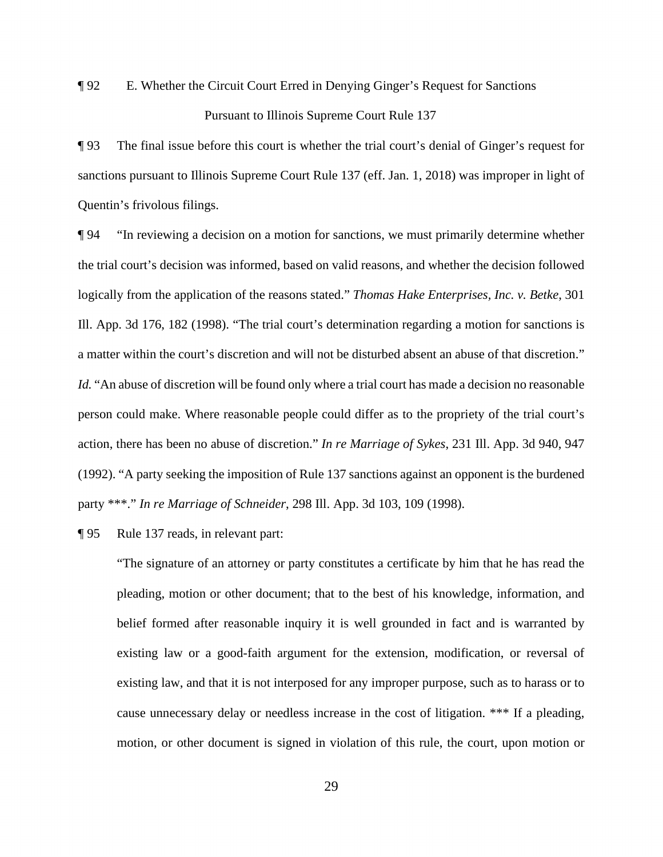¶ 92 E. Whether the Circuit Court Erred in Denying Ginger's Request for Sanctions Pursuant to Illinois Supreme Court Rule 137

¶ 93 The final issue before this court is whether the trial court's denial of Ginger's request for sanctions pursuant to Illinois Supreme Court Rule 137 (eff. Jan. 1, 2018) was improper in light of Quentin's frivolous filings.

 person could make. Where reasonable people could differ as to the propriety of the trial court's ¶ 94 "In reviewing a decision on a motion for sanctions, we must primarily determine whether the trial court's decision was informed, based on valid reasons, and whether the decision followed logically from the application of the reasons stated." *Thomas Hake Enterprises, Inc. v. Betke*, 301 Ill. App. 3d 176, 182 (1998). "The trial court's determination regarding a motion for sanctions is a matter within the court's discretion and will not be disturbed absent an abuse of that discretion." *Id.* "An abuse of discretion will be found only where a trial court has made a decision no reasonable action, there has been no abuse of discretion." *In re Marriage of Sykes*, 231 Ill. App. 3d 940, 947 (1992). "A party seeking the imposition of Rule 137 sanctions against an opponent is the burdened party \*\*\*." *In re Marriage of Schneider*, 298 Ill. App. 3d 103, 109 (1998).

Rule 137 reads, in relevant part:

¶ 95 Rule 137 reads, in relevant part: "The signature of an attorney or party constitutes a certificate by him that he has read the pleading, motion or other document; that to the best of his knowledge, information, and belief formed after reasonable inquiry it is well grounded in fact and is warranted by existing law or a good-faith argument for the extension, modification, or reversal of existing law, and that it is not interposed for any improper purpose, such as to harass or to cause unnecessary delay or needless increase in the cost of litigation. \*\*\* If a pleading, motion, or other document is signed in violation of this rule, the court, upon motion or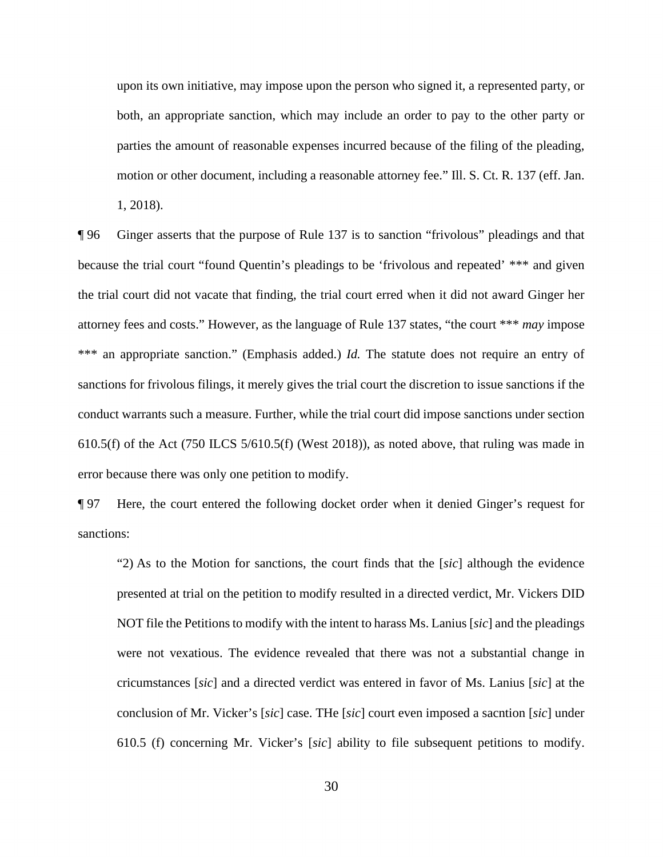upon its own initiative, may impose upon the person who signed it, a represented party, or both, an appropriate sanction, which may include an order to pay to the other party or parties the amount of reasonable expenses incurred because of the filing of the pleading, motion or other document, including a reasonable attorney fee." Ill. S. Ct. R. 137 (eff. Jan. 1, 2018).

 because the trial court "found Quentin's pleadings to be 'frivolous and repeated' \*\*\* and given \*\*\* an appropriate sanction." (Emphasis added.) *Id.* The statute does not require an entry of ¶ 96 Ginger asserts that the purpose of Rule 137 is to sanction "frivolous" pleadings and that the trial court did not vacate that finding, the trial court erred when it did not award Ginger her attorney fees and costs." However, as the language of Rule 137 states, "the court \*\*\* *may* impose sanctions for frivolous filings, it merely gives the trial court the discretion to issue sanctions if the conduct warrants such a measure. Further, while the trial court did impose sanctions under section 610.5(f) of the Act (750 ILCS 5/610.5(f) (West 2018)), as noted above, that ruling was made in error because there was only one petition to modify.

¶ 97 Here, the court entered the following docket order when it denied Ginger's request for sanctions:

 NOT file the Petitions to modify with the intent to harass Ms. Lanius [*sic*] and the pleadings "2) As to the Motion for sanctions, the court finds that the [*sic*] although the evidence presented at trial on the petition to modify resulted in a directed verdict, Mr. Vickers DID were not vexatious. The evidence revealed that there was not a substantial change in cricumstances [*sic*] and a directed verdict was entered in favor of Ms. Lanius [*sic*] at the conclusion of Mr. Vicker's [*sic*] case. THe [*sic*] court even imposed a sacntion [*sic*] under 610.5 (f) concerning Mr. Vicker's [*sic*] ability to file subsequent petitions to modify.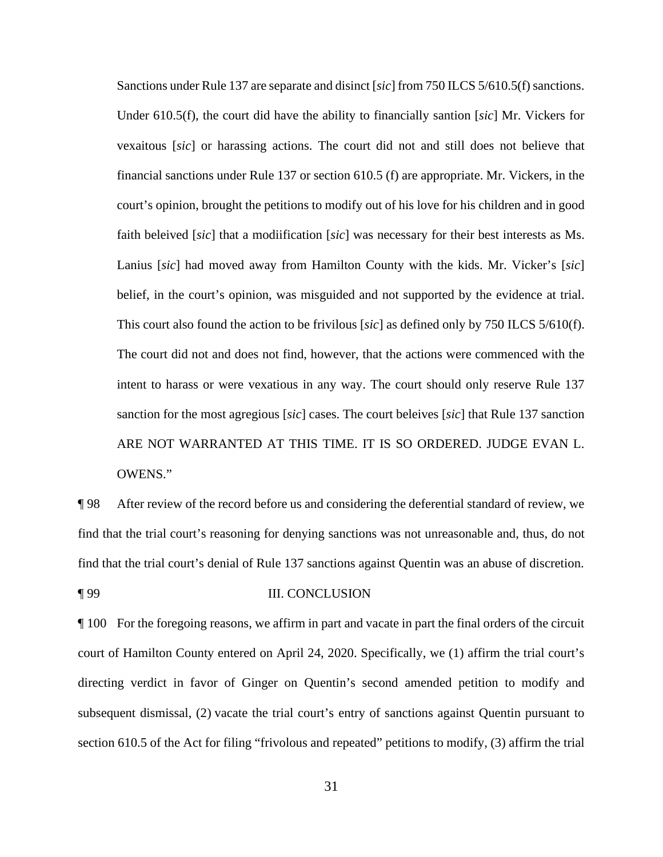Lanius [*sic*] had moved away from Hamilton County with the kids. Mr. Vicker's [*sic*] belief, in the court's opinion, was misguided and not supported by the evidence at trial. Sanctions under Rule 137 are separate and disinct [*sic*] from 750 ILCS 5/610.5(f) sanctions. Under 610.5(f), the court did have the ability to financially santion [*sic*] Mr. Vickers for vexaitous [*sic*] or harassing actions. The court did not and still does not believe that financial sanctions under Rule 137 or section 610.5 (f) are appropriate. Mr. Vickers, in the court's opinion, brought the petitions to modify out of his love for his children and in good faith beleived [*sic*] that a modiification [*sic*] was necessary for their best interests as Ms. This court also found the action to be frivilous [*sic*] as defined only by 750 ILCS 5/610(f). The court did not and does not find, however, that the actions were commenced with the intent to harass or were vexatious in any way. The court should only reserve Rule 137 sanction for the most agregious [*sic*] cases. The court beleives [*sic*] that Rule 137 sanction ARE NOT WARRANTED AT THIS TIME. IT IS SO ORDERED. JUDGE EVAN L. OWENS."

¶ 98 After review of the record before us and considering the deferential standard of review, we find that the trial court's reasoning for denying sanctions was not unreasonable and, thus, do not find that the trial court's denial of Rule 137 sanctions against Quentin was an abuse of discretion.

### ¶ 99 III. CONCLUSION

 directing verdict in favor of Ginger on Quentin's second amended petition to modify and ¶ 100 For the foregoing reasons, we affirm in part and vacate in part the final orders of the circuit court of Hamilton County entered on April 24, 2020. Specifically, we (1) affirm the trial court's subsequent dismissal, (2) vacate the trial court's entry of sanctions against Quentin pursuant to section 610.5 of the Act for filing "frivolous and repeated" petitions to modify, (3) affirm the trial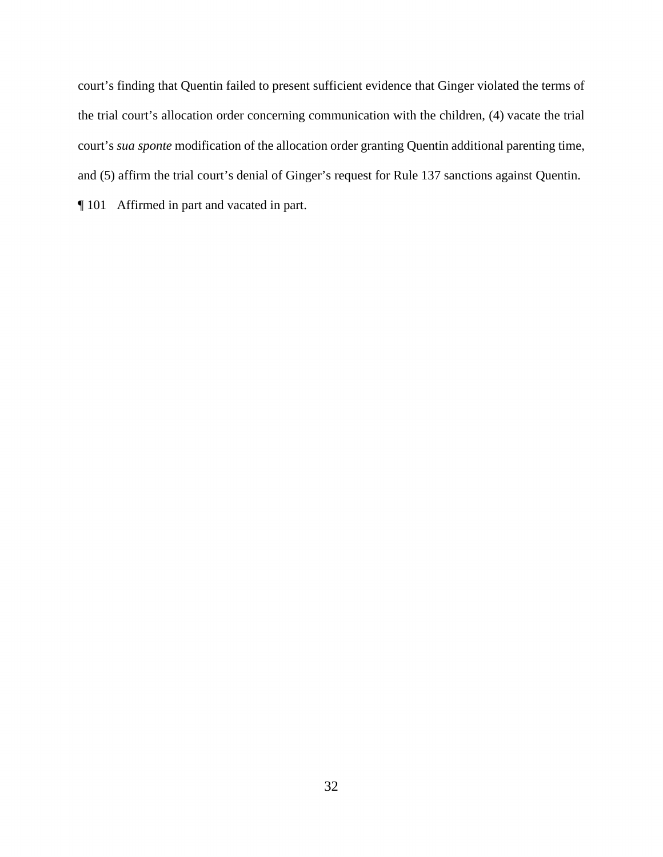and (5) affirm the trial court's denial of Ginger's request for Rule 137 sanctions against Quentin. court's finding that Quentin failed to present sufficient evidence that Ginger violated the terms of the trial court's allocation order concerning communication with the children, (4) vacate the trial court's *sua sponte* modification of the allocation order granting Quentin additional parenting time, ¶ 101 Affirmed in part and vacated in part.